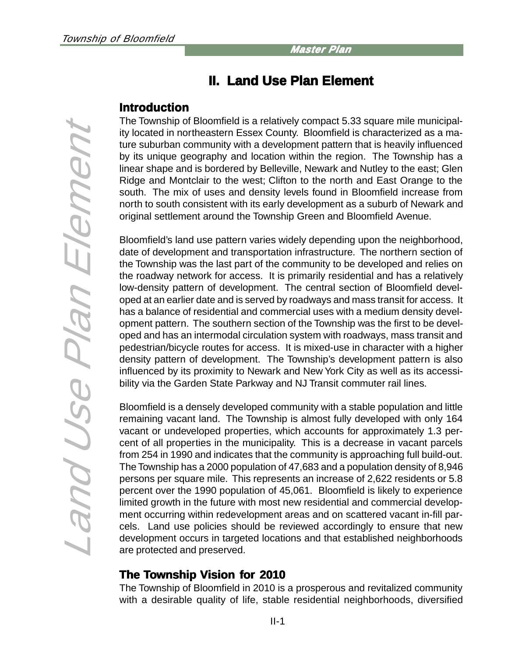# **II. Land Use Plan Element II. Land Use Plan Element**

# **Introduction**

The Township of Bloomfield is a relatively compact 5.33 square mile municipality located in northeastern Essex County. Bloomfield is characterized as a mature suburban community with a development pattern that is heavily influenced by its unique geography and location within the region. The Township has a linear shape and is bordered by Belleville, Newark and Nutley to the east; Glen Ridge and Montclair to the west; Clifton to the north and East Orange to the south. The mix of uses and density levels found in Bloomfield increase from north to south consistent with its early development as a suburb of Newark and original settlement around the Township Green and Bloomfield Avenue.

Bloomfield's land use pattern varies widely depending upon the neighborhood, date of development and transportation infrastructure. The northern section of the Township was the last part of the community to be developed and relies on the roadway network for access. It is primarily residential and has a relatively low-density pattern of development. The central section of Bloomfield developed at an earlier date and is served by roadways and mass transit for access. It has a balance of residential and commercial uses with a medium density development pattern. The southern section of the Township was the first to be developed and has an intermodal circulation system with roadways, mass transit and pedestrian/bicycle routes for access. It is mixed-use in character with a higher density pattern of development. The Township's development pattern is also influenced by its proximity to Newark and New York City as well as its accessibility via the Garden State Parkway and NJ Transit commuter rail lines.

Bloomfield is a densely developed community with a stable population and little remaining vacant land. The Township is almost fully developed with only 164 vacant or undeveloped properties, which accounts for approximately 1.3 percent of all properties in the municipality. This is a decrease in vacant parcels from 254 in 1990 and indicates that the community is approaching full build-out. The Township has a 2000 population of 47,683 and a population density of 8,946 persons per square mile. This represents an increase of 2,622 residents or 5.8 percent over the 1990 population of 45,061. Bloomfield is likely to experience limited growth in the future with most new residential and commercial development occurring within redevelopment areas and on scattered vacant in-fill parcels. Land use policies should be reviewed accordingly to ensure that new development occurs in targeted locations and that established neighborhoods are protected and preserved.

# **The Township Vision for 2010**

The Township of Bloomfield in 2010 is a prosperous and revitalized community with a desirable quality of life, stable residential neighborhoods, diversified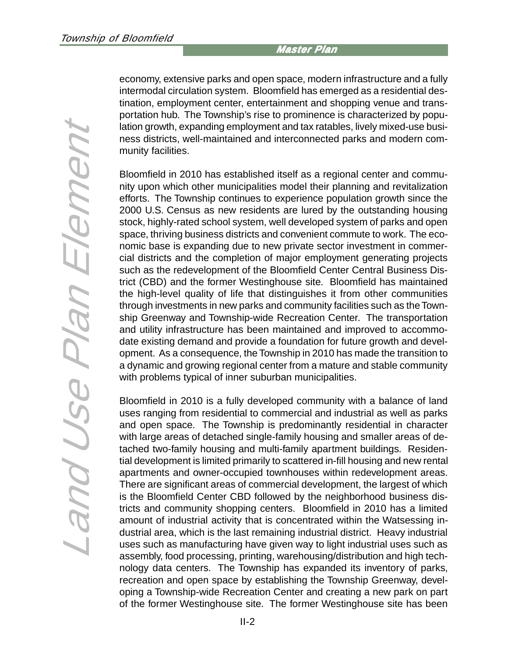economy, extensive parks and open space, modern infrastructure and a fully intermodal circulation system. Bloomfield has emerged as a residential destination, employment center, entertainment and shopping venue and transportation hub. The Township's rise to prominence is characterized by population growth, expanding employment and tax ratables, lively mixed-use business districts, well-maintained and interconnected parks and modern community facilities.

Bloomfield in 2010 has established itself as a regional center and community upon which other municipalities model their planning and revitalization efforts. The Township continues to experience population growth since the 2000 U.S. Census as new residents are lured by the outstanding housing stock, highly-rated school system, well developed system of parks and open space, thriving business districts and convenient commute to work. The economic base is expanding due to new private sector investment in commercial districts and the completion of major employment generating projects such as the redevelopment of the Bloomfield Center Central Business District (CBD) and the former Westinghouse site. Bloomfield has maintained the high-level quality of life that distinguishes it from other communities through investments in new parks and community facilities such as the Township Greenway and Township-wide Recreation Center. The transportation and utility infrastructure has been maintained and improved to accommodate existing demand and provide a foundation for future growth and development. As a consequence, the Township in 2010 has made the transition to a dynamic and growing regional center from a mature and stable community with problems typical of inner suburban municipalities.

Bloomfield in 2010 is a fully developed community with a balance of land uses ranging from residential to commercial and industrial as well as parks and open space. The Township is predominantly residential in character with large areas of detached single-family housing and smaller areas of detached two-family housing and multi-family apartment buildings. Residential development is limited primarily to scattered in-fill housing and new rental apartments and owner-occupied townhouses within redevelopment areas. There are significant areas of commercial development, the largest of which is the Bloomfield Center CBD followed by the neighborhood business districts and community shopping centers. Bloomfield in 2010 has a limited amount of industrial activity that is concentrated within the Watsessing industrial area, which is the last remaining industrial district. Heavy industrial uses such as manufacturing have given way to light industrial uses such as assembly, food processing, printing, warehousing/distribution and high technology data centers. The Township has expanded its inventory of parks, recreation and open space by establishing the Township Greenway, developing a Township-wide Recreation Center and creating a new park on part of the former Westinghouse site. The former Westinghouse site has been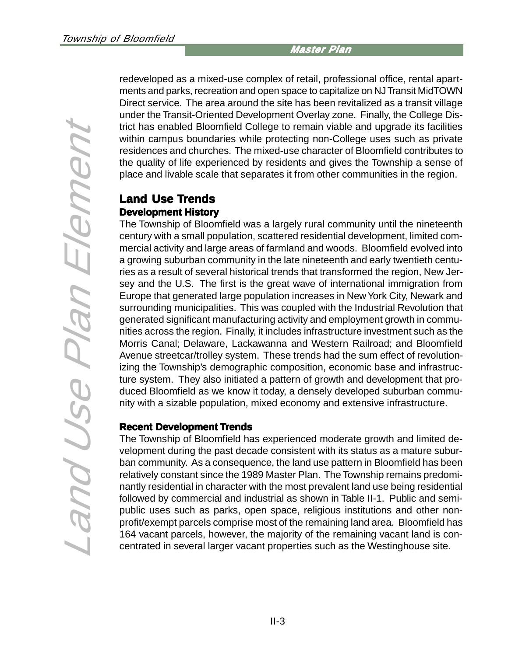Land Use Plan Element Land Use Plan Element

redeveloped as a mixed-use complex of retail, professional office, rental apartments and parks, recreation and open space to capitalize on NJ Transit MidTOWN Direct service. The area around the site has been revitalized as a transit village under the Transit-Oriented Development Overlay zone. Finally, the College District has enabled Bloomfield College to remain viable and upgrade its facilities within campus boundaries while protecting non-College uses such as private residences and churches. The mixed-use character of Bloomfield contributes to the quality of life experienced by residents and gives the Township a sense of place and livable scale that separates it from other communities in the region.

# **Land Use Trends Development History**

The Township of Bloomfield was a largely rural community until the nineteenth century with a small population, scattered residential development, limited commercial activity and large areas of farmland and woods. Bloomfield evolved into a growing suburban community in the late nineteenth and early twentieth centuries as a result of several historical trends that transformed the region, New Jersey and the U.S. The first is the great wave of international immigration from Europe that generated large population increases in New York City, Newark and surrounding municipalities. This was coupled with the Industrial Revolution that generated significant manufacturing activity and employment growth in communities across the region. Finally, it includes infrastructure investment such as the Morris Canal; Delaware, Lackawanna and Western Railroad; and Bloomfield Avenue streetcar/trolley system. These trends had the sum effect of revolutionizing the Township's demographic composition, economic base and infrastructure system. They also initiated a pattern of growth and development that produced Bloomfield as we know it today, a densely developed suburban community with a sizable population, mixed economy and extensive infrastructure.

#### **Recent Development Trends**

The Township of Bloomfield has experienced moderate growth and limited development during the past decade consistent with its status as a mature suburban community. As a consequence, the land use pattern in Bloomfield has been relatively constant since the 1989 Master Plan. The Township remains predominantly residential in character with the most prevalent land use being residential followed by commercial and industrial as shown in Table II-1. Public and semipublic uses such as parks, open space, religious institutions and other nonprofit/exempt parcels comprise most of the remaining land area. Bloomfield has 164 vacant parcels, however, the majority of the remaining vacant land is concentrated in several larger vacant properties such as the Westinghouse site.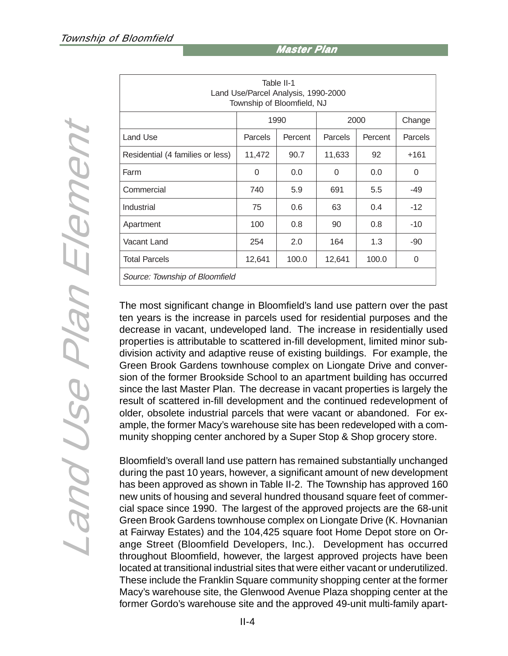| Table II-1<br>Land Use/Parcel Analysis, 1990-2000<br>Township of Bloomfield, NJ |         |         |         |         |         |  |  |
|---------------------------------------------------------------------------------|---------|---------|---------|---------|---------|--|--|
|                                                                                 | 1990    |         | 2000    |         | Change  |  |  |
| Land Use                                                                        | Parcels | Percent | Parcels | Percent | Parcels |  |  |
| Residential (4 families or less)                                                | 11,472  | 90.7    | 11,633  | 92      | $+161$  |  |  |
| Farm                                                                            | 0       | 0.0     | 0       | 0.0     | 0       |  |  |
| Commercial                                                                      | 740     | 5.9     | 691     | 5.5     | -49     |  |  |
| Industrial                                                                      | 75      | 0.6     | 63      | 0.4     | $-12$   |  |  |
| Apartment                                                                       | 100     | 0.8     | 90      | 0.8     | $-10$   |  |  |
| Vacant Land                                                                     | 254     | 2.0     | 164     | 1.3     | $-90$   |  |  |
| <b>Total Parcels</b>                                                            | 12,641  | 100.0   | 12,641  | 100.0   | 0       |  |  |
| Source: Township of Bloomfield                                                  |         |         |         |         |         |  |  |

The most significant change in Bloomfield's land use pattern over the past ten years is the increase in parcels used for residential purposes and the decrease in vacant, undeveloped land. The increase in residentially used properties is attributable to scattered in-fill development, limited minor subdivision activity and adaptive reuse of existing buildings. For example, the Green Brook Gardens townhouse complex on Liongate Drive and conversion of the former Brookside School to an apartment building has occurred since the last Master Plan. The decrease in vacant properties is largely the result of scattered in-fill development and the continued redevelopment of older, obsolete industrial parcels that were vacant or abandoned. For example, the former Macy's warehouse site has been redeveloped with a community shopping center anchored by a Super Stop & Shop grocery store.

Bloomfield's overall land use pattern has remained substantially unchanged during the past 10 years, however, a significant amount of new development has been approved as shown in Table II-2. The Township has approved 160 new units of housing and several hundred thousand square feet of commercial space since 1990. The largest of the approved projects are the 68-unit Green Brook Gardens townhouse complex on Liongate Drive (K. Hovnanian at Fairway Estates) and the 104,425 square foot Home Depot store on Orange Street (Bloomfield Developers, Inc.). Development has occurred throughout Bloomfield, however, the largest approved projects have been located at transitional industrial sites that were either vacant or underutilized. These include the Franklin Square community shopping center at the former Macy's warehouse site, the Glenwood Avenue Plaza shopping center at the former Gordo's warehouse site and the approved 49-unit multi-family apart-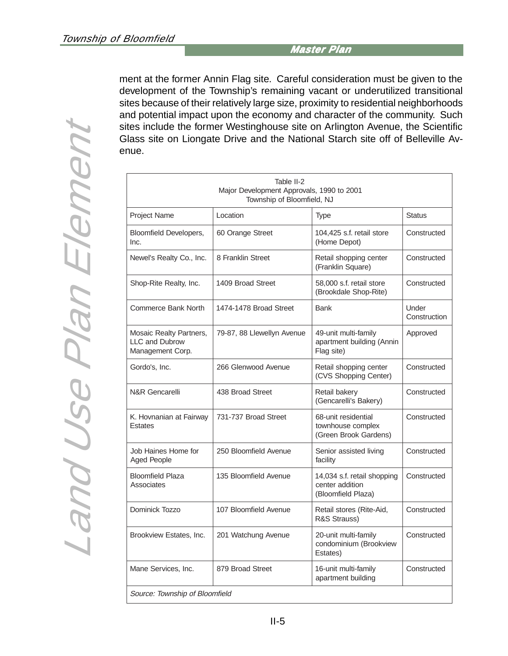ment at the former Annin Flag site. Careful consideration must be given to the development of the Township's remaining vacant or underutilized transitional sites because of their relatively large size, proximity to residential neighborhoods and potential impact upon the economy and character of the community. Such sites include the former Westinghouse site on Arlington Avenue, the Scientific Glass site on Liongate Drive and the National Starch site off of Belleville Avenue.

| Table II-2<br>Major Development Approvals, 1990 to 2001<br>Township of Bloomfield, NJ |                            |                                                                      |                       |  |  |  |
|---------------------------------------------------------------------------------------|----------------------------|----------------------------------------------------------------------|-----------------------|--|--|--|
| Project Name                                                                          | Location                   | Type                                                                 | <b>Status</b>         |  |  |  |
| Bloomfield Developers,<br>Inc.                                                        | 60 Orange Street           | 104.425 s.f. retail store<br>(Home Depot)                            | Constructed           |  |  |  |
| Newel's Realty Co., Inc.                                                              | 8 Franklin Street          | Retail shopping center<br>(Franklin Square)                          | Constructed           |  |  |  |
| Shop-Rite Realty, Inc.                                                                | 1409 Broad Street          | 58,000 s.f. retail store<br>(Brookdale Shop-Rite)                    | Constructed           |  |  |  |
| Commerce Bank North                                                                   | 1474-1478 Broad Street     | <b>Bank</b>                                                          | Under<br>Construction |  |  |  |
| Mosaic Realty Partners,<br><b>LLC and Dubrow</b><br>Management Corp.                  | 79-87, 88 Llewellyn Avenue | 49-unit multi-family<br>apartment building (Annin<br>Flag site)      | Approved              |  |  |  |
| Gordo's, Inc.                                                                         | 266 Glenwood Avenue        | Retail shopping center<br>(CVS Shopping Center)                      | Constructed           |  |  |  |
| <b>N&amp;R Gencarelli</b>                                                             | 438 Broad Street           | Retail bakery<br>(Gencarelli's Bakery)                               | Constructed           |  |  |  |
| K. Hovnanian at Fairway<br><b>Estates</b>                                             | 731-737 Broad Street       | 68-unit residential<br>townhouse complex<br>(Green Brook Gardens)    | Constructed           |  |  |  |
| Job Haines Home for<br><b>Aged People</b>                                             | 250 Bloomfield Avenue      | Senior assisted living<br>facility                                   | Constructed           |  |  |  |
| <b>Bloomfield Plaza</b><br>Associates                                                 | 135 Bloomfield Avenue      | 14,034 s.f. retail shopping<br>center addition<br>(Bloomfield Plaza) | Constructed           |  |  |  |
| Dominick Tozzo                                                                        | 107 Bloomfield Avenue      | Retail stores (Rite-Aid,<br>R&S Strauss)                             | Constructed           |  |  |  |
| Brookview Estates, Inc.                                                               | 201 Watchung Avenue        | 20-unit multi-family<br>condominium (Brookview<br>Estates)           | Constructed           |  |  |  |
| Mane Services, Inc.                                                                   | 879 Broad Street           | 16-unit multi-family<br>apartment building                           | Constructed           |  |  |  |
| Source: Township of Bloomfield                                                        |                            |                                                                      |                       |  |  |  |

Land Use Plan Element Land Use Plan Element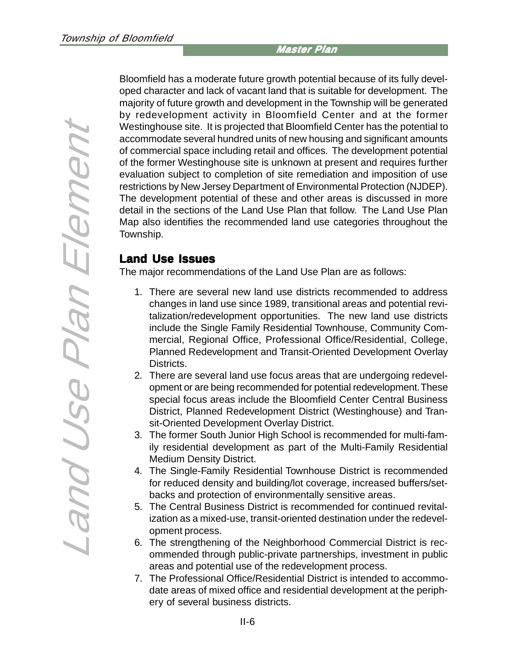Bloomfield has a moderate future growth potential because of its fully developed character and lack of vacant land that is suitable for development. The majority of future growth and development in the Township will be generated by redevelopment activity in Bloomfield Center and at the former Westinghouse site. It is projected that Bloomfield Center has the potential to accommodate several hundred units of new housing and significant amounts of commercial space including retail and offices. The development potential of the former Westinghouse site is unknown at present and requires further evaluation subject to completion of site remediation and imposition of use restrictions by New Jersey Department of Environmental Protection (NJDEP). The development potential of these and other areas is discussed in more detail in the sections of the Land Use Plan that follow. The Land Use Plan Map also identifies the recommended land use categories throughout the Township.

# **Land Use Issues**

The major recommendations of the Land Use Plan are as follows:

- 1. There are several new land use districts recommended to address changes in land use since 1989, transitional areas and potential revitalization/redevelopment opportunities. The new land use districts include the Single Family Residential Townhouse, Community Commercial, Regional Office, Professional Office/Residential, College, Planned Redevelopment and Transit-Oriented Development Overlay Districts.
- 2. There are several land use focus areas that are undergoing redevelopment or are being recommended for potential redevelopment. These special focus areas include the Bloomfield Center Central Business District, Planned Redevelopment District (Westinghouse) and Transit-Oriented Development Overlay District.
- 3. The former South Junior High School is recommended for multi-family residential development as part of the Multi-Family Residential Medium Density District.
- 4. The Single-Family Residential Townhouse District is recommended for reduced density and building/lot coverage, increased buffers/setbacks and protection of environmentally sensitive areas.
- 5. The Central Business District is recommended for continued revitalization as a mixed-use, transit-oriented destination under the redevelopment process.
- 6. The strengthening of the Neighborhood Commercial District is recommended through public-private partnerships, investment in public areas and potential use of the redevelopment process.
- 7. The Professional Office/Residential District is intended to accommodate areas of mixed office and residential development at the periphery of several business districts.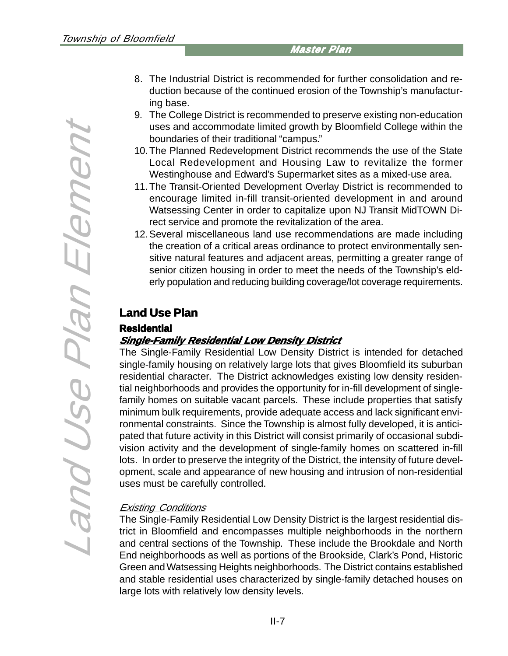- 8. The Industrial District is recommended for further consolidation and reduction because of the continued erosion of the Township's manufacturing base.
- 9. The College District is recommended to preserve existing non-education uses and accommodate limited growth by Bloomfield College within the boundaries of their traditional "campus."
- 10.The Planned Redevelopment District recommends the use of the State Local Redevelopment and Housing Law to revitalize the former Westinghouse and Edward's Supermarket sites as a mixed-use area.
- 11.The Transit-Oriented Development Overlay District is recommended to encourage limited in-fill transit-oriented development in and around Watsessing Center in order to capitalize upon NJ Transit MidTOWN Direct service and promote the revitalization of the area.
- 12.Several miscellaneous land use recommendations are made including the creation of a critical areas ordinance to protect environmentally sensitive natural features and adjacent areas, permitting a greater range of senior citizen housing in order to meet the needs of the Township's elderly population and reducing building coverage/lot coverage requirements.

# **Land Use Plan**

#### **Residential Residential**

# **Single-Family Residential Low Density District Single-Family Density District**

The Single-Family Residential Low Density District is intended for detached single-family housing on relatively large lots that gives Bloomfield its suburban residential character. The District acknowledges existing low density residential neighborhoods and provides the opportunity for in-fill development of singlefamily homes on suitable vacant parcels. These include properties that satisfy minimum bulk requirements, provide adequate access and lack significant environmental constraints. Since the Township is almost fully developed, it is anticipated that future activity in this District will consist primarily of occasional subdivision activity and the development of single-family homes on scattered in-fill lots. In order to preserve the integrity of the District, the intensity of future development, scale and appearance of new housing and intrusion of non-residential uses must be carefully controlled.

# Existing Conditions

The Single-Family Residential Low Density District is the largest residential district in Bloomfield and encompasses multiple neighborhoods in the northern and central sections of the Township. These include the Brookdale and North End neighborhoods as well as portions of the Brookside, Clark's Pond, Historic Green and Watsessing Heights neighborhoods. The District contains established and stable residential uses characterized by single-family detached houses on large lots with relatively low density levels.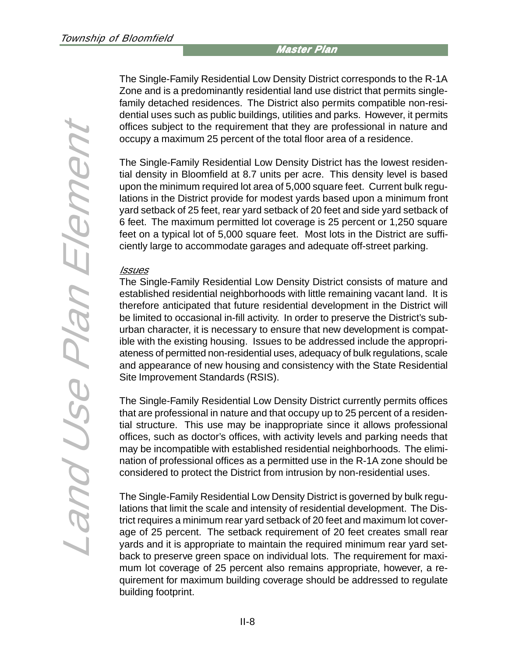The Single-Family Residential Low Density District corresponds to the R-1A Zone and is a predominantly residential land use district that permits singlefamily detached residences. The District also permits compatible non-residential uses such as public buildings, utilities and parks. However, it permits offices subject to the requirement that they are professional in nature and occupy a maximum 25 percent of the total floor area of a residence.

The Single-Family Residential Low Density District has the lowest residential density in Bloomfield at 8.7 units per acre. This density level is based upon the minimum required lot area of 5,000 square feet. Current bulk regulations in the District provide for modest yards based upon a minimum front yard setback of 25 feet, rear yard setback of 20 feet and side yard setback of 6 feet. The maximum permitted lot coverage is 25 percent or 1,250 square feet on a typical lot of 5,000 square feet. Most lots in the District are sufficiently large to accommodate garages and adequate off-street parking.

#### **Issues**

The Single-Family Residential Low Density District consists of mature and established residential neighborhoods with little remaining vacant land. It is therefore anticipated that future residential development in the District will be limited to occasional in-fill activity. In order to preserve the District's suburban character, it is necessary to ensure that new development is compatible with the existing housing. Issues to be addressed include the appropriateness of permitted non-residential uses, adequacy of bulk regulations, scale and appearance of new housing and consistency with the State Residential Site Improvement Standards (RSIS).

The Single-Family Residential Low Density District currently permits offices that are professional in nature and that occupy up to 25 percent of a residential structure. This use may be inappropriate since it allows professional offices, such as doctor's offices, with activity levels and parking needs that may be incompatible with established residential neighborhoods. The elimination of professional offices as a permitted use in the R-1A zone should be considered to protect the District from intrusion by non-residential uses.

The Single-Family Residential Low Density District is governed by bulk regulations that limit the scale and intensity of residential development. The District requires a minimum rear yard setback of 20 feet and maximum lot coverage of 25 percent. The setback requirement of 20 feet creates small rear yards and it is appropriate to maintain the required minimum rear yard setback to preserve green space on individual lots. The requirement for maximum lot coverage of 25 percent also remains appropriate, however, a requirement for maximum building coverage should be addressed to regulate building footprint.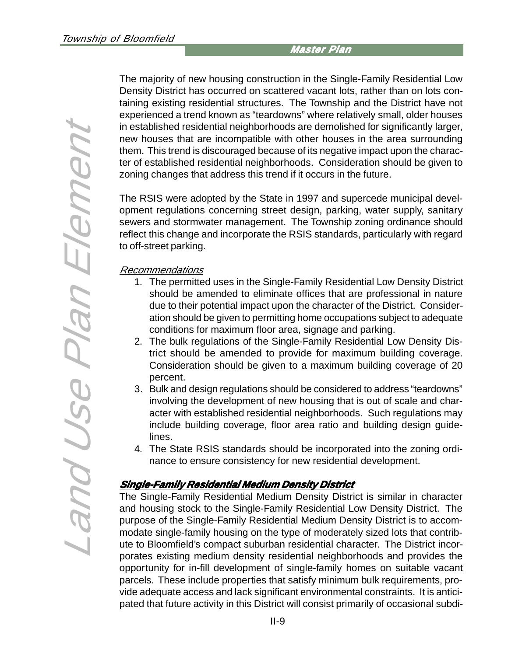The majority of new housing construction in the Single-Family Residential Low Density District has occurred on scattered vacant lots, rather than on lots containing existing residential structures. The Township and the District have not experienced a trend known as "teardowns" where relatively small, older houses in established residential neighborhoods are demolished for significantly larger, new houses that are incompatible with other houses in the area surrounding them. This trend is discouraged because of its negative impact upon the character of established residential neighborhoods. Consideration should be given to zoning changes that address this trend if it occurs in the future.

The RSIS were adopted by the State in 1997 and supercede municipal development regulations concerning street design, parking, water supply, sanitary sewers and stormwater management. The Township zoning ordinance should reflect this change and incorporate the RSIS standards, particularly with regard to off-street parking.

#### Recommendations

- 1. The permitted uses in the Single-Family Residential Low Density District should be amended to eliminate offices that are professional in nature due to their potential impact upon the character of the District. Consideration should be given to permitting home occupations subject to adequate conditions for maximum floor area, signage and parking.
- 2. The bulk regulations of the Single-Family Residential Low Density District should be amended to provide for maximum building coverage. Consideration should be given to a maximum building coverage of 20 percent.
- 3. Bulk and design regulations should be considered to address "teardowns" involving the development of new housing that is out of scale and character with established residential neighborhoods. Such regulations may include building coverage, floor area ratio and building design guidelines.
- 4. The State RSIS standards should be incorporated into the zoning ordinance to ensure consistency for new residential development.

#### **Single-Family Residential Medium Density District Single-Family Residential Density District**

The Single-Family Residential Medium Density District is similar in character and housing stock to the Single-Family Residential Low Density District. The purpose of the Single-Family Residential Medium Density District is to accommodate single-family housing on the type of moderately sized lots that contribute to Bloomfield's compact suburban residential character. The District incorporates existing medium density residential neighborhoods and provides the opportunity for in-fill development of single-family homes on suitable vacant parcels. These include properties that satisfy minimum bulk requirements, provide adequate access and lack significant environmental constraints. It is anticipated that future activity in this District will consist primarily of occasional subdi-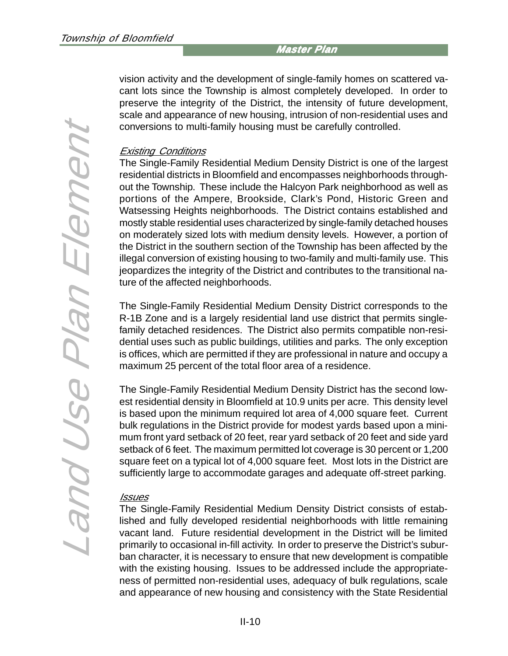vision activity and the development of single-family homes on scattered vacant lots since the Township is almost completely developed. In order to preserve the integrity of the District, the intensity of future development, scale and appearance of new housing, intrusion of non-residential uses and conversions to multi-family housing must be carefully controlled.

#### Existing Conditions

The Single-Family Residential Medium Density District is one of the largest residential districts in Bloomfield and encompasses neighborhoods throughout the Township. These include the Halcyon Park neighborhood as well as portions of the Ampere, Brookside, Clark's Pond, Historic Green and Watsessing Heights neighborhoods. The District contains established and mostly stable residential uses characterized by single-family detached houses on moderately sized lots with medium density levels. However, a portion of the District in the southern section of the Township has been affected by the illegal conversion of existing housing to two-family and multi-family use. This jeopardizes the integrity of the District and contributes to the transitional nature of the affected neighborhoods.

The Single-Family Residential Medium Density District corresponds to the R-1B Zone and is a largely residential land use district that permits singlefamily detached residences. The District also permits compatible non-residential uses such as public buildings, utilities and parks. The only exception is offices, which are permitted if they are professional in nature and occupy a maximum 25 percent of the total floor area of a residence.

The Single-Family Residential Medium Density District has the second lowest residential density in Bloomfield at 10.9 units per acre. This density level is based upon the minimum required lot area of 4,000 square feet. Current bulk regulations in the District provide for modest yards based upon a minimum front yard setback of 20 feet, rear yard setback of 20 feet and side yard setback of 6 feet. The maximum permitted lot coverage is 30 percent or 1,200 square feet on a typical lot of 4,000 square feet. Most lots in the District are sufficiently large to accommodate garages and adequate off-street parking.

#### Issues

The Single-Family Residential Medium Density District consists of established and fully developed residential neighborhoods with little remaining vacant land. Future residential development in the District will be limited primarily to occasional in-fill activity. In order to preserve the District's suburban character, it is necessary to ensure that new development is compatible with the existing housing. Issues to be addressed include the appropriateness of permitted non-residential uses, adequacy of bulk regulations, scale and appearance of new housing and consistency with the State Residential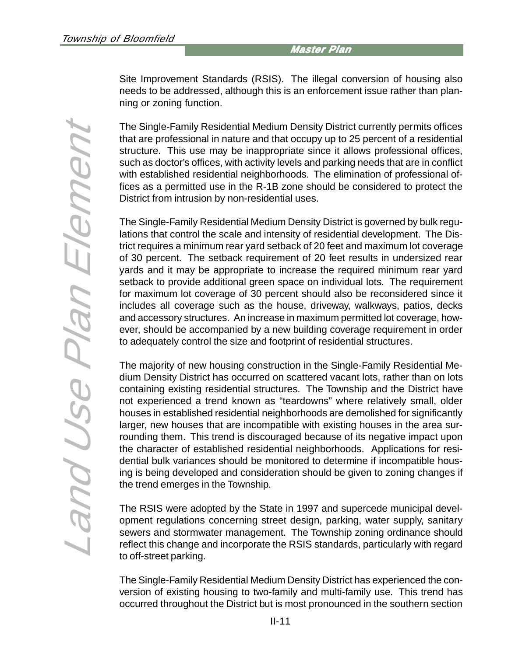Site Improvement Standards (RSIS). The illegal conversion of housing also needs to be addressed, although this is an enforcement issue rather than planning or zoning function.

The Single-Family Residential Medium Density District currently permits offices that are professional in nature and that occupy up to 25 percent of a residential structure. This use may be inappropriate since it allows professional offices, such as doctor's offices, with activity levels and parking needs that are in conflict with established residential neighborhoods. The elimination of professional offices as a permitted use in the R-1B zone should be considered to protect the District from intrusion by non-residential uses.

The Single-Family Residential Medium Density District is governed by bulk regulations that control the scale and intensity of residential development. The District requires a minimum rear yard setback of 20 feet and maximum lot coverage of 30 percent. The setback requirement of 20 feet results in undersized rear yards and it may be appropriate to increase the required minimum rear yard setback to provide additional green space on individual lots. The requirement for maximum lot coverage of 30 percent should also be reconsidered since it includes all coverage such as the house, driveway, walkways, patios, decks and accessory structures. An increase in maximum permitted lot coverage, however, should be accompanied by a new building coverage requirement in order to adequately control the size and footprint of residential structures.

The majority of new housing construction in the Single-Family Residential Medium Density District has occurred on scattered vacant lots, rather than on lots containing existing residential structures. The Township and the District have not experienced a trend known as "teardowns" where relatively small, older houses in established residential neighborhoods are demolished for significantly larger, new houses that are incompatible with existing houses in the area surrounding them. This trend is discouraged because of its negative impact upon the character of established residential neighborhoods. Applications for residential bulk variances should be monitored to determine if incompatible housing is being developed and consideration should be given to zoning changes if the trend emerges in the Township.

The RSIS were adopted by the State in 1997 and supercede municipal development regulations concerning street design, parking, water supply, sanitary sewers and stormwater management. The Township zoning ordinance should reflect this change and incorporate the RSIS standards, particularly with regard to off-street parking.

The Single-Family Residential Medium Density District has experienced the conversion of existing housing to two-family and multi-family use. This trend has occurred throughout the District but is most pronounced in the southern section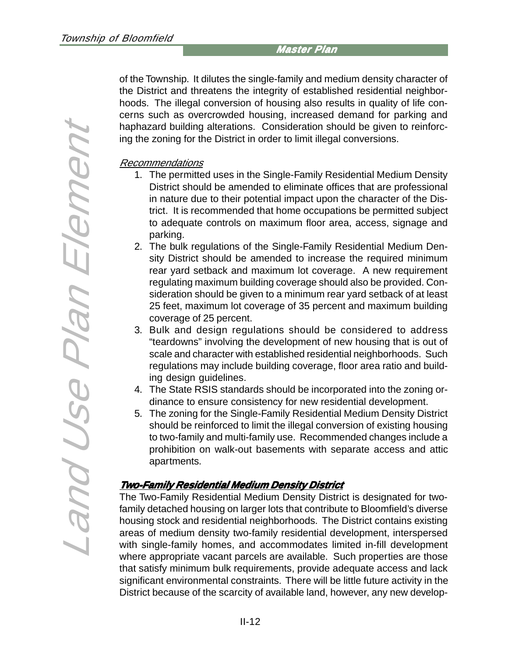of the Township. It dilutes the single-family and medium density character of the District and threatens the integrity of established residential neighborhoods. The illegal conversion of housing also results in quality of life concerns such as overcrowded housing, increased demand for parking and haphazard building alterations. Consideration should be given to reinforcing the zoning for the District in order to limit illegal conversions.

### Recommendations

- 1. The permitted uses in the Single-Family Residential Medium Density District should be amended to eliminate offices that are professional in nature due to their potential impact upon the character of the District. It is recommended that home occupations be permitted subject to adequate controls on maximum floor area, access, signage and parking.
- 2. The bulk regulations of the Single-Family Residential Medium Density District should be amended to increase the required minimum rear yard setback and maximum lot coverage. A new requirement regulating maximum building coverage should also be provided. Consideration should be given to a minimum rear yard setback of at least 25 feet, maximum lot coverage of 35 percent and maximum building coverage of 25 percent.
- 3. Bulk and design regulations should be considered to address "teardowns" involving the development of new housing that is out of scale and character with established residential neighborhoods. Such regulations may include building coverage, floor area ratio and building design guidelines.
- 4. The State RSIS standards should be incorporated into the zoning ordinance to ensure consistency for new residential development.
- 5. The zoning for the Single-Family Residential Medium Density District should be reinforced to limit the illegal conversion of existing housing to two-family and multi-family use. Recommended changes include a prohibition on walk-out basements with separate access and attic apartments.

# **Two-Family Residential Medium Density District y Residential Medium Density District**

The Two-Family Residential Medium Density District is designated for twofamily detached housing on larger lots that contribute to Bloomfield's diverse housing stock and residential neighborhoods. The District contains existing areas of medium density two-family residential development, interspersed with single-family homes, and accommodates limited in-fill development where appropriate vacant parcels are available. Such properties are those that satisfy minimum bulk requirements, provide adequate access and lack significant environmental constraints. There will be little future activity in the District because of the scarcity of available land, however, any new develop-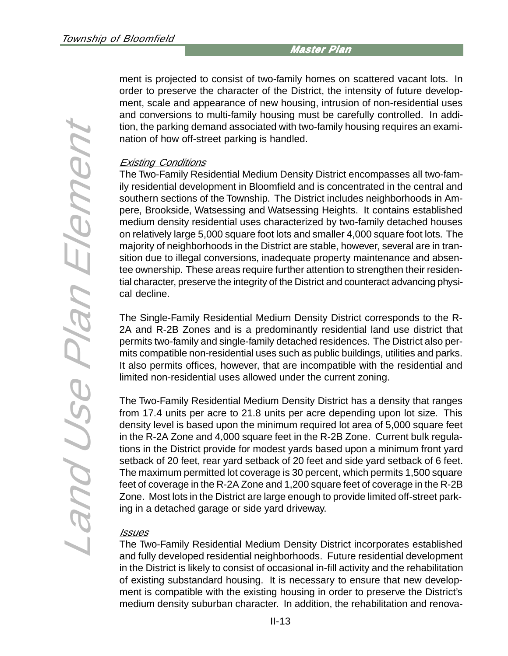ment is projected to consist of two-family homes on scattered vacant lots. In order to preserve the character of the District, the intensity of future development, scale and appearance of new housing, intrusion of non-residential uses and conversions to multi-family housing must be carefully controlled. In addition, the parking demand associated with two-family housing requires an examination of how off-street parking is handled.

#### Existing Conditions

The Two-Family Residential Medium Density District encompasses all two-family residential development in Bloomfield and is concentrated in the central and southern sections of the Township. The District includes neighborhoods in Ampere, Brookside, Watsessing and Watsessing Heights. It contains established medium density residential uses characterized by two-family detached houses on relatively large 5,000 square foot lots and smaller 4,000 square foot lots. The majority of neighborhoods in the District are stable, however, several are in transition due to illegal conversions, inadequate property maintenance and absentee ownership. These areas require further attention to strengthen their residential character, preserve the integrity of the District and counteract advancing physical decline.

The Single-Family Residential Medium Density District corresponds to the R-2A and R-2B Zones and is a predominantly residential land use district that permits two-family and single-family detached residences. The District also permits compatible non-residential uses such as public buildings, utilities and parks. It also permits offices, however, that are incompatible with the residential and limited non-residential uses allowed under the current zoning.

The Two-Family Residential Medium Density District has a density that ranges from 17.4 units per acre to 21.8 units per acre depending upon lot size. This density level is based upon the minimum required lot area of 5,000 square feet in the R-2A Zone and 4,000 square feet in the R-2B Zone. Current bulk regulations in the District provide for modest yards based upon a minimum front yard setback of 20 feet, rear yard setback of 20 feet and side yard setback of 6 feet. The maximum permitted lot coverage is 30 percent, which permits 1,500 square feet of coverage in the R-2A Zone and 1,200 square feet of coverage in the R-2B Zone. Most lots in the District are large enough to provide limited off-street parking in a detached garage or side yard driveway.

#### **Issues**

The Two-Family Residential Medium Density District incorporates established and fully developed residential neighborhoods. Future residential development in the District is likely to consist of occasional in-fill activity and the rehabilitation of existing substandard housing. It is necessary to ensure that new development is compatible with the existing housing in order to preserve the District's medium density suburban character. In addition, the rehabilitation and renova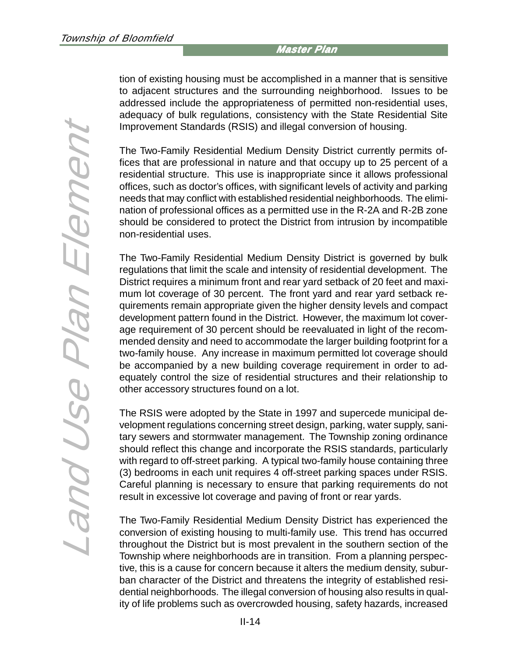tion of existing housing must be accomplished in a manner that is sensitive to adjacent structures and the surrounding neighborhood. Issues to be addressed include the appropriateness of permitted non-residential uses, adequacy of bulk regulations, consistency with the State Residential Site Improvement Standards (RSIS) and illegal conversion of housing.

The Two-Family Residential Medium Density District currently permits offices that are professional in nature and that occupy up to 25 percent of a residential structure. This use is inappropriate since it allows professional offices, such as doctor's offices, with significant levels of activity and parking needs that may conflict with established residential neighborhoods. The elimination of professional offices as a permitted use in the R-2A and R-2B zone should be considered to protect the District from intrusion by incompatible non-residential uses.

The Two-Family Residential Medium Density District is governed by bulk regulations that limit the scale and intensity of residential development. The District requires a minimum front and rear yard setback of 20 feet and maximum lot coverage of 30 percent. The front yard and rear yard setback requirements remain appropriate given the higher density levels and compact development pattern found in the District. However, the maximum lot coverage requirement of 30 percent should be reevaluated in light of the recommended density and need to accommodate the larger building footprint for a two-family house. Any increase in maximum permitted lot coverage should be accompanied by a new building coverage requirement in order to adequately control the size of residential structures and their relationship to other accessory structures found on a lot.

The RSIS were adopted by the State in 1997 and supercede municipal development regulations concerning street design, parking, water supply, sanitary sewers and stormwater management. The Township zoning ordinance should reflect this change and incorporate the RSIS standards, particularly with regard to off-street parking. A typical two-family house containing three (3) bedrooms in each unit requires 4 off-street parking spaces under RSIS. Careful planning is necessary to ensure that parking requirements do not result in excessive lot coverage and paving of front or rear yards.

The Two-Family Residential Medium Density District has experienced the conversion of existing housing to multi-family use. This trend has occurred throughout the District but is most prevalent in the southern section of the Township where neighborhoods are in transition. From a planning perspective, this is a cause for concern because it alters the medium density, suburban character of the District and threatens the integrity of established residential neighborhoods. The illegal conversion of housing also results in quality of life problems such as overcrowded housing, safety hazards, increased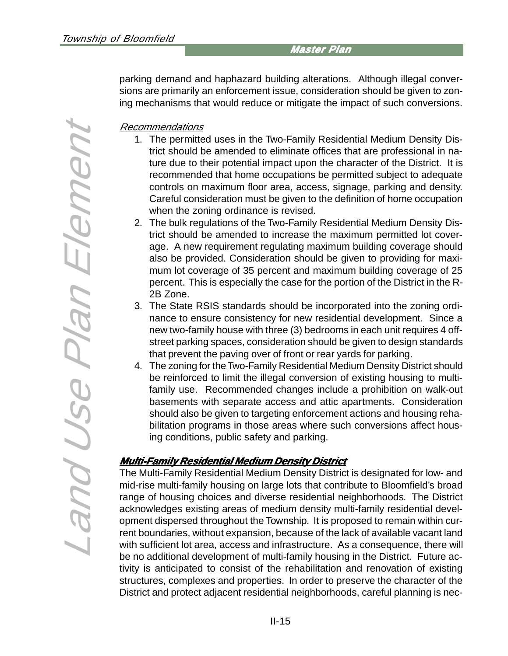parking demand and haphazard building alterations. Although illegal conversions are primarily an enforcement issue, consideration should be given to zoning mechanisms that would reduce or mitigate the impact of such conversions.

#### Recommendations

- 1. The permitted uses in the Two-Family Residential Medium Density District should be amended to eliminate offices that are professional in nature due to their potential impact upon the character of the District. It is recommended that home occupations be permitted subject to adequate controls on maximum floor area, access, signage, parking and density. Careful consideration must be given to the definition of home occupation when the zoning ordinance is revised.
- 2. The bulk regulations of the Two-Family Residential Medium Density District should be amended to increase the maximum permitted lot coverage. A new requirement regulating maximum building coverage should also be provided. Consideration should be given to providing for maximum lot coverage of 35 percent and maximum building coverage of 25 percent. This is especially the case for the portion of the District in the R-2B Zone.
- 3. The State RSIS standards should be incorporated into the zoning ordinance to ensure consistency for new residential development. Since a new two-family house with three (3) bedrooms in each unit requires 4 offstreet parking spaces, consideration should be given to design standards that prevent the paving over of front or rear yards for parking.
- 4. The zoning for the Two-Family Residential Medium Density District should be reinforced to limit the illegal conversion of existing housing to multifamily use. Recommended changes include a prohibition on walk-out basements with separate access and attic apartments. Consideration should also be given to targeting enforcement actions and housing rehabilitation programs in those areas where such conversions affect housing conditions, public safety and parking.

# **Multi-Family Residential Medium Density District Density District**

The Multi-Family Residential Medium Density District is designated for low- and mid-rise multi-family housing on large lots that contribute to Bloomfield's broad range of housing choices and diverse residential neighborhoods. The District acknowledges existing areas of medium density multi-family residential development dispersed throughout the Township. It is proposed to remain within current boundaries, without expansion, because of the lack of available vacant land with sufficient lot area, access and infrastructure. As a consequence, there will be no additional development of multi-family housing in the District. Future activity is anticipated to consist of the rehabilitation and renovation of existing structures, complexes and properties. In order to preserve the character of the District and protect adjacent residential neighborhoods, careful planning is nec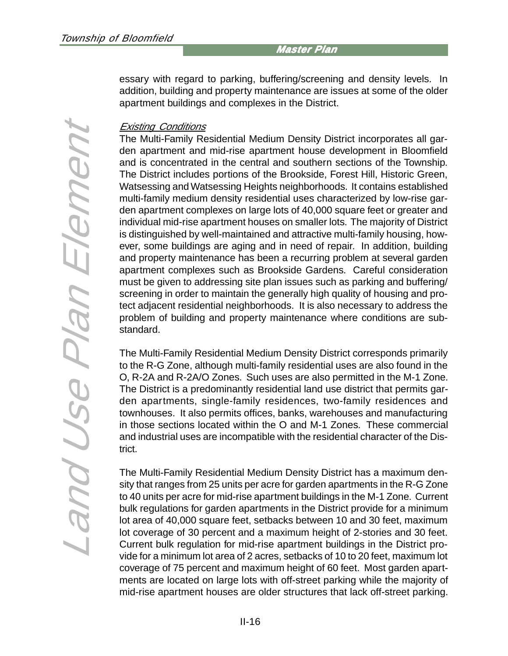essary with regard to parking, buffering/screening and density levels. In addition, building and property maintenance are issues at some of the older apartment buildings and complexes in the District.

#### Existing Conditions

The Multi-Family Residential Medium Density District incorporates all garden apartment and mid-rise apartment house development in Bloomfield and is concentrated in the central and southern sections of the Township. The District includes portions of the Brookside, Forest Hill, Historic Green, Watsessing and Watsessing Heights neighborhoods. It contains established multi-family medium density residential uses characterized by low-rise garden apartment complexes on large lots of 40,000 square feet or greater and individual mid-rise apartment houses on smaller lots. The majority of District is distinguished by well-maintained and attractive multi-family housing, however, some buildings are aging and in need of repair. In addition, building and property maintenance has been a recurring problem at several garden apartment complexes such as Brookside Gardens. Careful consideration must be given to addressing site plan issues such as parking and buffering/ screening in order to maintain the generally high quality of housing and protect adjacent residential neighborhoods. It is also necessary to address the problem of building and property maintenance where conditions are substandard.

The Multi-Family Residential Medium Density District corresponds primarily to the R-G Zone, although multi-family residential uses are also found in the O, R-2A and R-2A/O Zones. Such uses are also permitted in the M-1 Zone. The District is a predominantly residential land use district that permits garden apartments, single-family residences, two-family residences and townhouses. It also permits offices, banks, warehouses and manufacturing in those sections located within the O and M-1 Zones. These commercial and industrial uses are incompatible with the residential character of the District.

The Multi-Family Residential Medium Density District has a maximum density that ranges from 25 units per acre for garden apartments in the R-G Zone to 40 units per acre for mid-rise apartment buildings in the M-1 Zone. Current bulk regulations for garden apartments in the District provide for a minimum lot area of 40,000 square feet, setbacks between 10 and 30 feet, maximum lot coverage of 30 percent and a maximum height of 2-stories and 30 feet. Current bulk regulation for mid-rise apartment buildings in the District provide for a minimum lot area of 2 acres, setbacks of 10 to 20 feet, maximum lot coverage of 75 percent and maximum height of 60 feet. Most garden apartments are located on large lots with off-street parking while the majority of mid-rise apartment houses are older structures that lack off-street parking.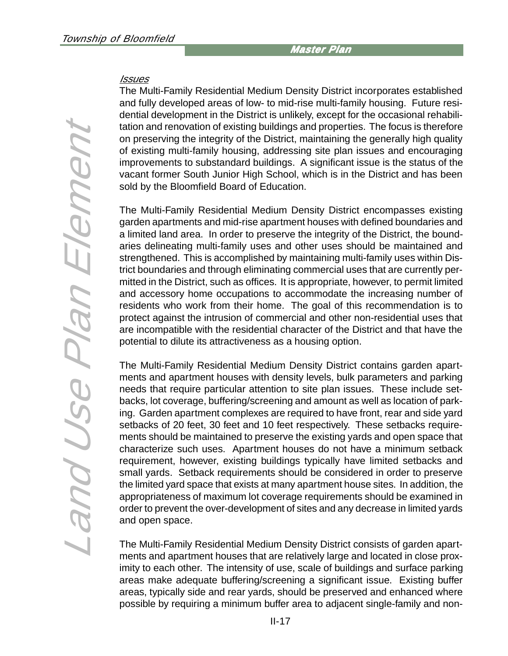#### **Issues**

The Multi-Family Residential Medium Density District incorporates established and fully developed areas of low- to mid-rise multi-family housing. Future residential development in the District is unlikely, except for the occasional rehabilitation and renovation of existing buildings and properties. The focus is therefore on preserving the integrity of the District, maintaining the generally high quality of existing multi-family housing, addressing site plan issues and encouraging improvements to substandard buildings. A significant issue is the status of the vacant former South Junior High School, which is in the District and has been sold by the Bloomfield Board of Education.

The Multi-Family Residential Medium Density District encompasses existing garden apartments and mid-rise apartment houses with defined boundaries and a limited land area. In order to preserve the integrity of the District, the boundaries delineating multi-family uses and other uses should be maintained and strengthened. This is accomplished by maintaining multi-family uses within District boundaries and through eliminating commercial uses that are currently permitted in the District, such as offices. It is appropriate, however, to permit limited and accessory home occupations to accommodate the increasing number of residents who work from their home. The goal of this recommendation is to protect against the intrusion of commercial and other non-residential uses that are incompatible with the residential character of the District and that have the potential to dilute its attractiveness as a housing option.

The Multi-Family Residential Medium Density District contains garden apartments and apartment houses with density levels, bulk parameters and parking needs that require particular attention to site plan issues. These include setbacks, lot coverage, buffering/screening and amount as well as location of parking. Garden apartment complexes are required to have front, rear and side yard setbacks of 20 feet, 30 feet and 10 feet respectively. These setbacks requirements should be maintained to preserve the existing yards and open space that characterize such uses. Apartment houses do not have a minimum setback requirement, however, existing buildings typically have limited setbacks and small yards. Setback requirements should be considered in order to preserve the limited yard space that exists at many apartment house sites. In addition, the appropriateness of maximum lot coverage requirements should be examined in order to prevent the over-development of sites and any decrease in limited yards and open space.

The Multi-Family Residential Medium Density District consists of garden apartments and apartment houses that are relatively large and located in close proximity to each other. The intensity of use, scale of buildings and surface parking areas make adequate buffering/screening a significant issue. Existing buffer areas, typically side and rear yards, should be preserved and enhanced where possible by requiring a minimum buffer area to adjacent single-family and non-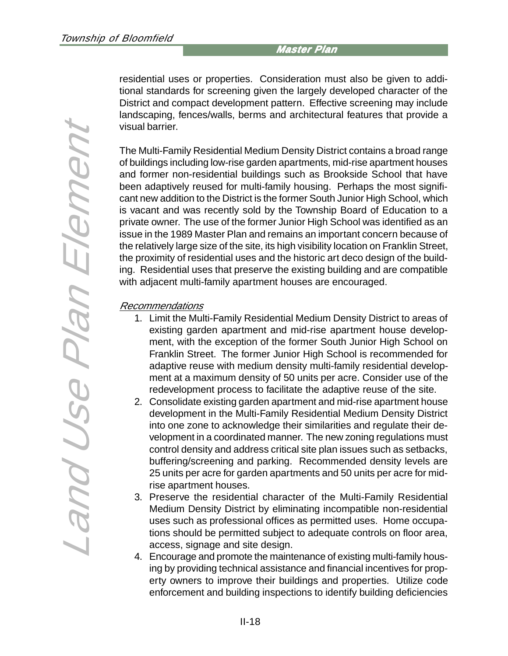residential uses or properties. Consideration must also be given to additional standards for screening given the largely developed character of the District and compact development pattern. Effective screening may include landscaping, fences/walls, berms and architectural features that provide a visual barrier.

The Multi-Family Residential Medium Density District contains a broad range of buildings including low-rise garden apartments, mid-rise apartment houses and former non-residential buildings such as Brookside School that have been adaptively reused for multi-family housing. Perhaps the most significant new addition to the District is the former South Junior High School, which is vacant and was recently sold by the Township Board of Education to a private owner. The use of the former Junior High School was identified as an issue in the 1989 Master Plan and remains an important concern because of the relatively large size of the site, its high visibility location on Franklin Street, the proximity of residential uses and the historic art deco design of the building. Residential uses that preserve the existing building and are compatible with adjacent multi-family apartment houses are encouraged.

#### Recommendations

- 1. Limit the Multi-Family Residential Medium Density District to areas of existing garden apartment and mid-rise apartment house development, with the exception of the former South Junior High School on Franklin Street. The former Junior High School is recommended for adaptive reuse with medium density multi-family residential development at a maximum density of 50 units per acre. Consider use of the redevelopment process to facilitate the adaptive reuse of the site.
- 2. Consolidate existing garden apartment and mid-rise apartment house development in the Multi-Family Residential Medium Density District into one zone to acknowledge their similarities and regulate their development in a coordinated manner. The new zoning regulations must control density and address critical site plan issues such as setbacks, buffering/screening and parking. Recommended density levels are 25 units per acre for garden apartments and 50 units per acre for midrise apartment houses.
- 3. Preserve the residential character of the Multi-Family Residential Medium Density District by eliminating incompatible non-residential uses such as professional offices as permitted uses. Home occupations should be permitted subject to adequate controls on floor area, access, signage and site design.
- 4. Encourage and promote the maintenance of existing multi-family housing by providing technical assistance and financial incentives for property owners to improve their buildings and properties. Utilize code enforcement and building inspections to identify building deficiencies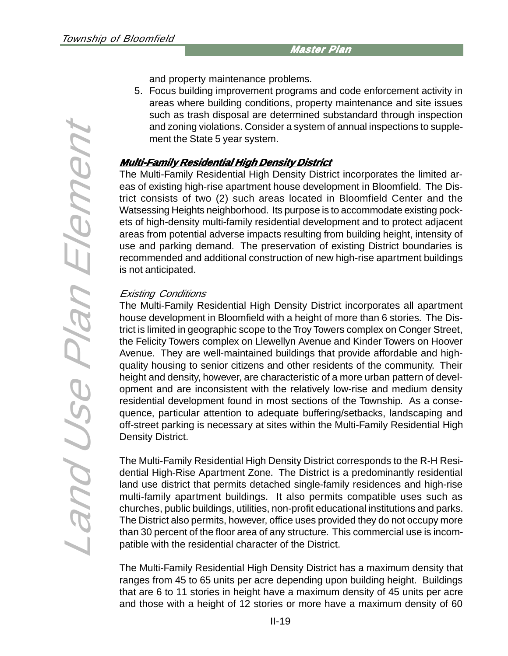Land Use Plan Element Land Use Plan Element and property maintenance problems.

5. Focus building improvement programs and code enforcement activity in areas where building conditions, property maintenance and site issues such as trash disposal are determined substandard through inspection and zoning violations. Consider a system of annual inspections to supplement the State 5 year system.

#### **Multi-Family Residential High Density District Residential High Density District**

The Multi-Family Residential High Density District incorporates the limited areas of existing high-rise apartment house development in Bloomfield. The District consists of two (2) such areas located in Bloomfield Center and the Watsessing Heights neighborhood. Its purpose is to accommodate existing pockets of high-density multi-family residential development and to protect adjacent areas from potential adverse impacts resulting from building height, intensity of use and parking demand. The preservation of existing District boundaries is recommended and additional construction of new high-rise apartment buildings is not anticipated.

# Existing Conditions

The Multi-Family Residential High Density District incorporates all apartment house development in Bloomfield with a height of more than 6 stories. The District is limited in geographic scope to the Troy Towers complex on Conger Street, the Felicity Towers complex on Llewellyn Avenue and Kinder Towers on Hoover Avenue. They are well-maintained buildings that provide affordable and highquality housing to senior citizens and other residents of the community. Their height and density, however, are characteristic of a more urban pattern of development and are inconsistent with the relatively low-rise and medium density residential development found in most sections of the Township. As a consequence, particular attention to adequate buffering/setbacks, landscaping and off-street parking is necessary at sites within the Multi-Family Residential High Density District.

The Multi-Family Residential High Density District corresponds to the R-H Residential High-Rise Apartment Zone. The District is a predominantly residential land use district that permits detached single-family residences and high-rise multi-family apartment buildings. It also permits compatible uses such as churches, public buildings, utilities, non-profit educational institutions and parks. The District also permits, however, office uses provided they do not occupy more than 30 percent of the floor area of any structure. This commercial use is incompatible with the residential character of the District.

The Multi-Family Residential High Density District has a maximum density that ranges from 45 to 65 units per acre depending upon building height. Buildings that are 6 to 11 stories in height have a maximum density of 45 units per acre and those with a height of 12 stories or more have a maximum density of 60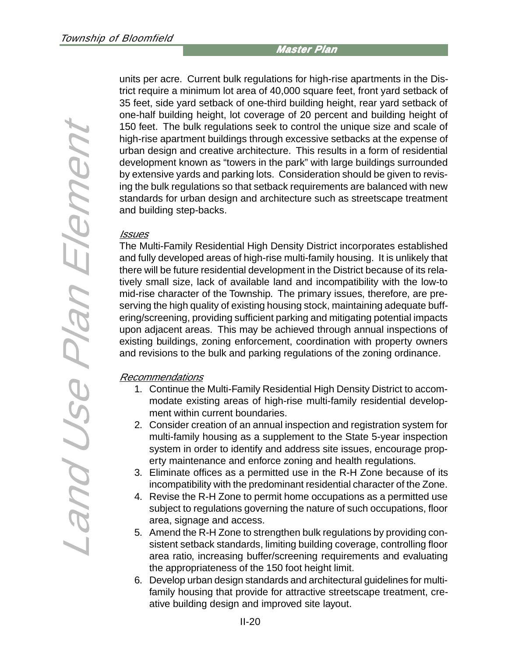units per acre. Current bulk regulations for high-rise apartments in the District require a minimum lot area of 40,000 square feet, front yard setback of 35 feet, side yard setback of one-third building height, rear yard setback of one-half building height, lot coverage of 20 percent and building height of 150 feet. The bulk regulations seek to control the unique size and scale of high-rise apartment buildings through excessive setbacks at the expense of urban design and creative architecture. This results in a form of residential development known as "towers in the park" with large buildings surrounded by extensive yards and parking lots. Consideration should be given to revising the bulk regulations so that setback requirements are balanced with new standards for urban design and architecture such as streetscape treatment and building step-backs.

#### Issues

The Multi-Family Residential High Density District incorporates established and fully developed areas of high-rise multi-family housing. It is unlikely that there will be future residential development in the District because of its relatively small size, lack of available land and incompatibility with the low-to mid-rise character of the Township. The primary issues, therefore, are preserving the high quality of existing housing stock, maintaining adequate buffering/screening, providing sufficient parking and mitigating potential impacts upon adjacent areas. This may be achieved through annual inspections of existing buildings, zoning enforcement, coordination with property owners and revisions to the bulk and parking regulations of the zoning ordinance.

#### Recommendations

- 1. Continue the Multi-Family Residential High Density District to accommodate existing areas of high-rise multi-family residential development within current boundaries.
- 2. Consider creation of an annual inspection and registration system for multi-family housing as a supplement to the State 5-year inspection system in order to identify and address site issues, encourage property maintenance and enforce zoning and health regulations.
- 3. Eliminate offices as a permitted use in the R-H Zone because of its incompatibility with the predominant residential character of the Zone.
- 4. Revise the R-H Zone to permit home occupations as a permitted use subject to regulations governing the nature of such occupations, floor area, signage and access.
- 5. Amend the R-H Zone to strengthen bulk regulations by providing consistent setback standards, limiting building coverage, controlling floor area ratio, increasing buffer/screening requirements and evaluating the appropriateness of the 150 foot height limit.
- 6. Develop urban design standards and architectural guidelines for multifamily housing that provide for attractive streetscape treatment, creative building design and improved site layout.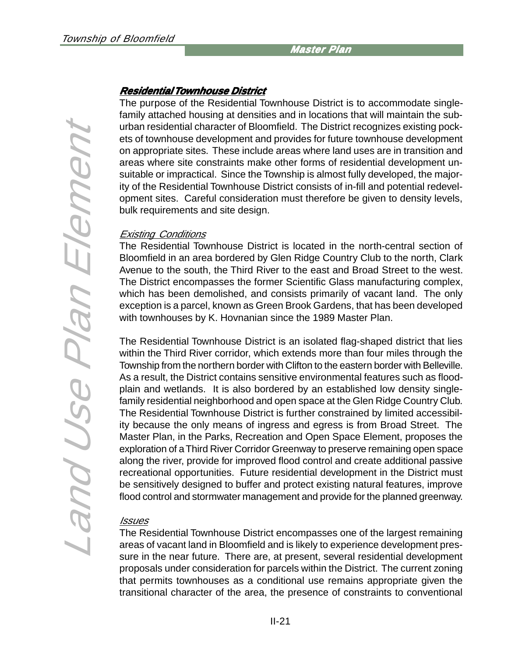# Land Use Plan Element Land Use Plan Element

# **Residential Residential Townhouse District wnhouse District**

The purpose of the Residential Townhouse District is to accommodate singlefamily attached housing at densities and in locations that will maintain the suburban residential character of Bloomfield. The District recognizes existing pockets of townhouse development and provides for future townhouse development on appropriate sites. These include areas where land uses are in transition and areas where site constraints make other forms of residential development unsuitable or impractical. Since the Township is almost fully developed, the majority of the Residential Townhouse District consists of in-fill and potential redevelopment sites. Careful consideration must therefore be given to density levels, bulk requirements and site design.

#### Existing Conditions

The Residential Townhouse District is located in the north-central section of Bloomfield in an area bordered by Glen Ridge Country Club to the north, Clark Avenue to the south, the Third River to the east and Broad Street to the west. The District encompasses the former Scientific Glass manufacturing complex, which has been demolished, and consists primarily of vacant land. The only exception is a parcel, known as Green Brook Gardens, that has been developed with townhouses by K. Hovnanian since the 1989 Master Plan.

The Residential Townhouse District is an isolated flag-shaped district that lies within the Third River corridor, which extends more than four miles through the Township from the northern border with Clifton to the eastern border with Belleville. As a result, the District contains sensitive environmental features such as floodplain and wetlands. It is also bordered by an established low density singlefamily residential neighborhood and open space at the Glen Ridge Country Club. The Residential Townhouse District is further constrained by limited accessibility because the only means of ingress and egress is from Broad Street. The Master Plan, in the Parks, Recreation and Open Space Element, proposes the exploration of a Third River Corridor Greenway to preserve remaining open space along the river, provide for improved flood control and create additional passive recreational opportunities. Future residential development in the District must be sensitively designed to buffer and protect existing natural features, improve flood control and stormwater management and provide for the planned greenway.

# Issues

The Residential Townhouse District encompasses one of the largest remaining areas of vacant land in Bloomfield and is likely to experience development pressure in the near future. There are, at present, several residential development proposals under consideration for parcels within the District. The current zoning that permits townhouses as a conditional use remains appropriate given the transitional character of the area, the presence of constraints to conventional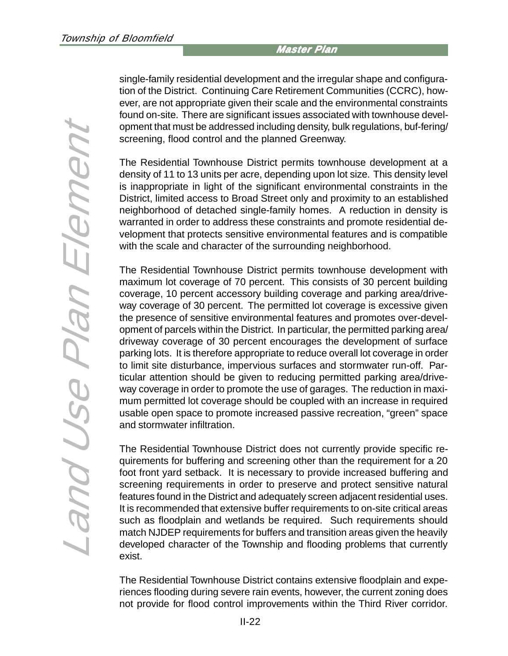Land Use Plan Element Land Use Plan Element

single-family residential development and the irregular shape and configuration of the District. Continuing Care Retirement Communities (CCRC), however, are not appropriate given their scale and the environmental constraints found on-site. There are significant issues associated with townhouse development that must be addressed including density, bulk regulations, buf-fering/ screening, flood control and the planned Greenway.

The Residential Townhouse District permits townhouse development at a density of 11 to 13 units per acre, depending upon lot size. This density level is inappropriate in light of the significant environmental constraints in the District, limited access to Broad Street only and proximity to an established neighborhood of detached single-family homes. A reduction in density is warranted in order to address these constraints and promote residential development that protects sensitive environmental features and is compatible with the scale and character of the surrounding neighborhood.

The Residential Townhouse District permits townhouse development with maximum lot coverage of 70 percent. This consists of 30 percent building coverage, 10 percent accessory building coverage and parking area/driveway coverage of 30 percent. The permitted lot coverage is excessive given the presence of sensitive environmental features and promotes over-development of parcels within the District. In particular, the permitted parking area/ driveway coverage of 30 percent encourages the development of surface parking lots. It is therefore appropriate to reduce overall lot coverage in order to limit site disturbance, impervious surfaces and stormwater run-off. Particular attention should be given to reducing permitted parking area/driveway coverage in order to promote the use of garages. The reduction in maximum permitted lot coverage should be coupled with an increase in required usable open space to promote increased passive recreation, "green" space and stormwater infiltration.

The Residential Townhouse District does not currently provide specific requirements for buffering and screening other than the requirement for a 20 foot front yard setback. It is necessary to provide increased buffering and screening requirements in order to preserve and protect sensitive natural features found in the District and adequately screen adjacent residential uses. It is recommended that extensive buffer requirements to on-site critical areas such as floodplain and wetlands be required. Such requirements should match NJDEP requirements for buffers and transition areas given the heavily developed character of the Township and flooding problems that currently exist.

The Residential Townhouse District contains extensive floodplain and experiences flooding during severe rain events, however, the current zoning does not provide for flood control improvements within the Third River corridor.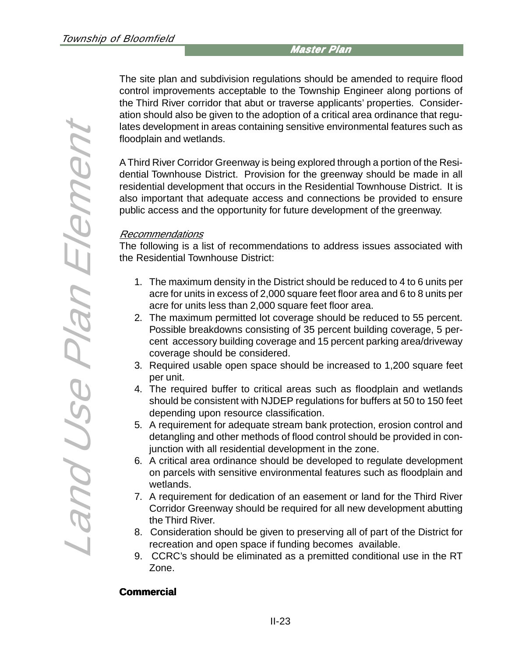The site plan and subdivision regulations should be amended to require flood control improvements acceptable to the Township Engineer along portions of the Third River corridor that abut or traverse applicants' properties. Consideration should also be given to the adoption of a critical area ordinance that regulates development in areas containing sensitive environmental features such as floodplain and wetlands.

A Third River Corridor Greenway is being explored through a portion of the Residential Townhouse District. Provision for the greenway should be made in all residential development that occurs in the Residential Townhouse District. It is also important that adequate access and connections be provided to ensure public access and the opportunity for future development of the greenway.

#### Recommendations

The following is a list of recommendations to address issues associated with the Residential Townhouse District:

- 1. The maximum density in the District should be reduced to 4 to 6 units per acre for units in excess of 2,000 square feet floor area and 6 to 8 units per acre for units less than 2,000 square feet floor area.
- 2. The maximum permitted lot coverage should be reduced to 55 percent. Possible breakdowns consisting of 35 percent building coverage, 5 percent accessory building coverage and 15 percent parking area/driveway coverage should be considered.
- 3. Required usable open space should be increased to 1,200 square feet per unit.
- 4. The required buffer to critical areas such as floodplain and wetlands should be consistent with NJDEP regulations for buffers at 50 to 150 feet depending upon resource classification.
- 5. A requirement for adequate stream bank protection, erosion control and detangling and other methods of flood control should be provided in conjunction with all residential development in the zone.
- 6. A critical area ordinance should be developed to regulate development on parcels with sensitive environmental features such as floodplain and wetlands.
- 7. A requirement for dedication of an easement or land for the Third River Corridor Greenway should be required for all new development abutting the Third River.
- 8. Consideration should be given to preserving all of part of the District for recreation and open space if funding becomes available.
- 9. CCRC's should be eliminated as a premitted conditional use in the RT Zone.

#### **Commercial**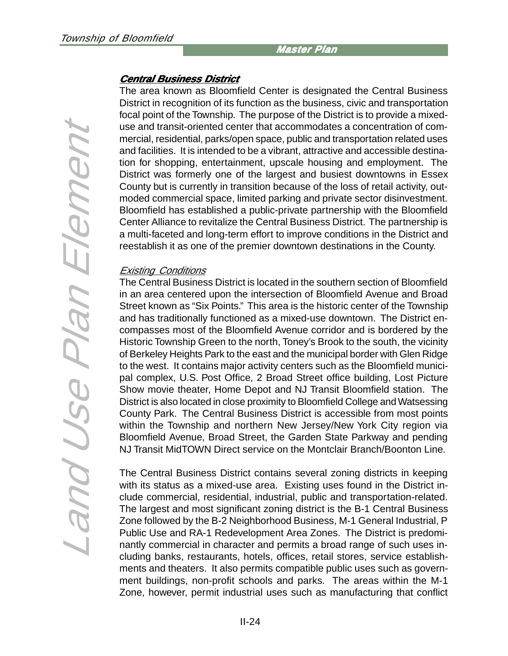#### **Central Business District Central District**

The area known as Bloomfield Center is designated the Central Business District in recognition of its function as the business, civic and transportation focal point of the Township. The purpose of the District is to provide a mixeduse and transit-oriented center that accommodates a concentration of commercial, residential, parks/open space, public and transportation related uses and facilities. It is intended to be a vibrant, attractive and accessible destination for shopping, entertainment, upscale housing and employment. The District was formerly one of the largest and busiest downtowns in Essex County but is currently in transition because of the loss of retail activity, outmoded commercial space, limited parking and private sector disinvestment. Bloomfield has established a public-private partnership with the Bloomfield Center Alliance to revitalize the Central Business District. The partnership is a multi-faceted and long-term effort to improve conditions in the District and reestablish it as one of the premier downtown destinations in the County.

#### Existing Conditions

The Central Business District is located in the southern section of Bloomfield in an area centered upon the intersection of Bloomfield Avenue and Broad Street known as "Six Points." This area is the historic center of the Township and has traditionally functioned as a mixed-use downtown. The District encompasses most of the Bloomfield Avenue corridor and is bordered by the Historic Township Green to the north, Toney's Brook to the south, the vicinity of Berkeley Heights Park to the east and the municipal border with Glen Ridge to the west. It contains major activity centers such as the Bloomfield municipal complex, U.S. Post Office, 2 Broad Street office building, Lost Picture Show movie theater, Home Depot and NJ Transit Bloomfield station. The District is also located in close proximity to Bloomfield College and Watsessing County Park. The Central Business District is accessible from most points within the Township and northern New Jersey/New York City region via Bloomfield Avenue, Broad Street, the Garden State Parkway and pending NJ Transit MidTOWN Direct service on the Montclair Branch/Boonton Line.

The Central Business District contains several zoning districts in keeping with its status as a mixed-use area. Existing uses found in the District include commercial, residential, industrial, public and transportation-related. The largest and most significant zoning district is the B-1 Central Business Zone followed by the B-2 Neighborhood Business, M-1 General Industrial, P Public Use and RA-1 Redevelopment Area Zones. The District is predominantly commercial in character and permits a broad range of such uses including banks, restaurants, hotels, offices, retail stores, service establishments and theaters. It also permits compatible public uses such as government buildings, non-profit schools and parks. The areas within the M-1 Zone, however, permit industrial uses such as manufacturing that conflict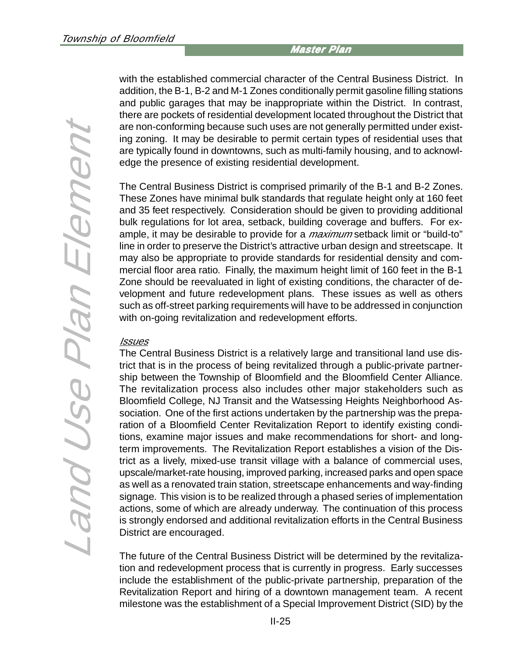with the established commercial character of the Central Business District. In addition, the B-1, B-2 and M-1 Zones conditionally permit gasoline filling stations and public garages that may be inappropriate within the District. In contrast, there are pockets of residential development located throughout the District that are non-conforming because such uses are not generally permitted under existing zoning. It may be desirable to permit certain types of residential uses that are typically found in downtowns, such as multi-family housing, and to acknowledge the presence of existing residential development.

The Central Business District is comprised primarily of the B-1 and B-2 Zones. These Zones have minimal bulk standards that regulate height only at 160 feet and 35 feet respectively. Consideration should be given to providing additional bulk regulations for lot area, setback, building coverage and buffers. For example, it may be desirable to provide for a *maximum* setback limit or "build-to" line in order to preserve the District's attractive urban design and streetscape. It may also be appropriate to provide standards for residential density and commercial floor area ratio. Finally, the maximum height limit of 160 feet in the B-1 Zone should be reevaluated in light of existing conditions, the character of development and future redevelopment plans. These issues as well as others such as off-street parking requirements will have to be addressed in conjunction with on-going revitalization and redevelopment efforts.

#### **Issues**

The Central Business District is a relatively large and transitional land use district that is in the process of being revitalized through a public-private partnership between the Township of Bloomfield and the Bloomfield Center Alliance. The revitalization process also includes other major stakeholders such as Bloomfield College, NJ Transit and the Watsessing Heights Neighborhood Association. One of the first actions undertaken by the partnership was the preparation of a Bloomfield Center Revitalization Report to identify existing conditions, examine major issues and make recommendations for short- and longterm improvements. The Revitalization Report establishes a vision of the District as a lively, mixed-use transit village with a balance of commercial uses, upscale/market-rate housing, improved parking, increased parks and open space as well as a renovated train station, streetscape enhancements and way-finding signage. This vision is to be realized through a phased series of implementation actions, some of which are already underway. The continuation of this process is strongly endorsed and additional revitalization efforts in the Central Business District are encouraged.

The future of the Central Business District will be determined by the revitalization and redevelopment process that is currently in progress. Early successes include the establishment of the public-private partnership, preparation of the Revitalization Report and hiring of a downtown management team. A recent milestone was the establishment of a Special Improvement District (SID) by the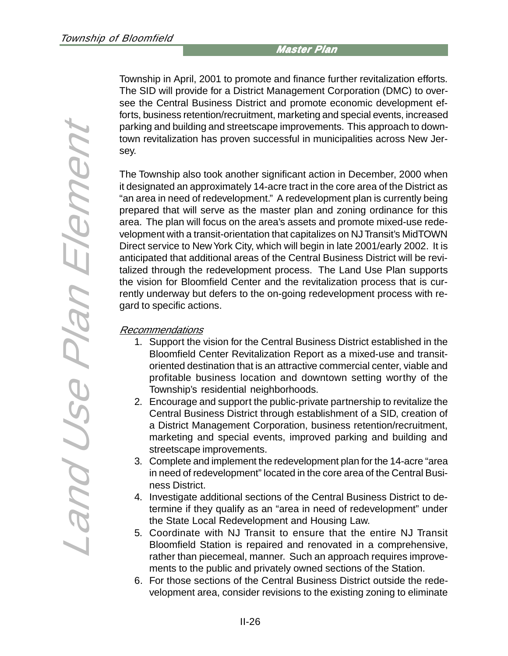Township in April, 2001 to promote and finance further revitalization efforts. The SID will provide for a District Management Corporation (DMC) to oversee the Central Business District and promote economic development efforts, business retention/recruitment, marketing and special events, increased parking and building and streetscape improvements. This approach to downtown revitalization has proven successful in municipalities across New Jersey.

The Township also took another significant action in December, 2000 when it designated an approximately 14-acre tract in the core area of the District as "an area in need of redevelopment." A redevelopment plan is currently being prepared that will serve as the master plan and zoning ordinance for this area. The plan will focus on the area's assets and promote mixed-use redevelopment with a transit-orientation that capitalizes on NJ Transit's MidTOWN Direct service to New York City, which will begin in late 2001/early 2002. It is anticipated that additional areas of the Central Business District will be revitalized through the redevelopment process. The Land Use Plan supports the vision for Bloomfield Center and the revitalization process that is currently underway but defers to the on-going redevelopment process with regard to specific actions.

#### Recommendations

- 1. Support the vision for the Central Business District established in the Bloomfield Center Revitalization Report as a mixed-use and transitoriented destination that is an attractive commercial center, viable and profitable business location and downtown setting worthy of the Township's residential neighborhoods.
- 2. Encourage and support the public-private partnership to revitalize the Central Business District through establishment of a SID, creation of a District Management Corporation, business retention/recruitment, marketing and special events, improved parking and building and streetscape improvements.
- 3. Complete and implement the redevelopment plan for the 14-acre "area in need of redevelopment" located in the core area of the Central Business District.
- 4. Investigate additional sections of the Central Business District to determine if they qualify as an "area in need of redevelopment" under the State Local Redevelopment and Housing Law.
- 5. Coordinate with NJ Transit to ensure that the entire NJ Transit Bloomfield Station is repaired and renovated in a comprehensive, rather than piecemeal, manner. Such an approach requires improvements to the public and privately owned sections of the Station.
- 6. For those sections of the Central Business District outside the redevelopment area, consider revisions to the existing zoning to eliminate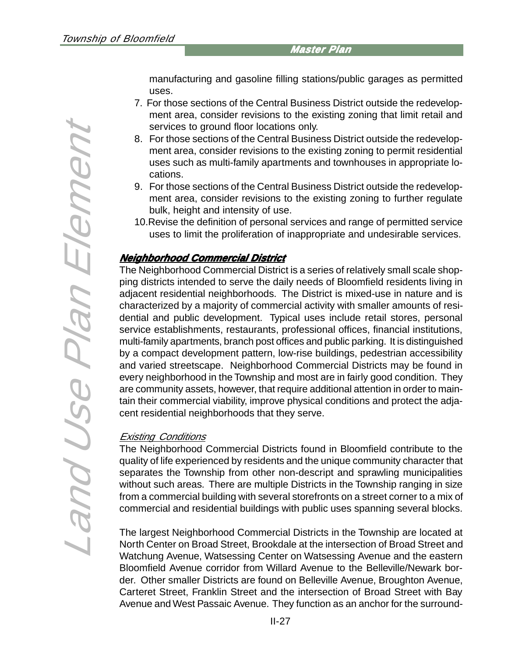manufacturing and gasoline filling stations/public garages as permitted uses.

- 7. For those sections of the Central Business District outside the redevelopment area, consider revisions to the existing zoning that limit retail and services to ground floor locations only.
- 8. For those sections of the Central Business District outside the redevelopment area, consider revisions to the existing zoning to permit residential uses such as multi-family apartments and townhouses in appropriate locations.
- 9. For those sections of the Central Business District outside the redevelopment area, consider revisions to the existing zoning to further regulate bulk, height and intensity of use.
- 10.Revise the definition of personal services and range of permitted service uses to limit the proliferation of inappropriate and undesirable services.

### **Neighborhood Commercial District Neighborhood Commercial District**

The Neighborhood Commercial District is a series of relatively small scale shopping districts intended to serve the daily needs of Bloomfield residents living in adjacent residential neighborhoods. The District is mixed-use in nature and is characterized by a majority of commercial activity with smaller amounts of residential and public development. Typical uses include retail stores, personal service establishments, restaurants, professional offices, financial institutions, multi-family apartments, branch post offices and public parking. It is distinguished by a compact development pattern, low-rise buildings, pedestrian accessibility and varied streetscape. Neighborhood Commercial Districts may be found in every neighborhood in the Township and most are in fairly good condition. They are community assets, however, that require additional attention in order to maintain their commercial viability, improve physical conditions and protect the adjacent residential neighborhoods that they serve.

# Existing Conditions

The Neighborhood Commercial Districts found in Bloomfield contribute to the quality of life experienced by residents and the unique community character that separates the Township from other non-descript and sprawling municipalities without such areas. There are multiple Districts in the Township ranging in size from a commercial building with several storefronts on a street corner to a mix of commercial and residential buildings with public uses spanning several blocks.

The largest Neighborhood Commercial Districts in the Township are located at North Center on Broad Street, Brookdale at the intersection of Broad Street and Watchung Avenue, Watsessing Center on Watsessing Avenue and the eastern Bloomfield Avenue corridor from Willard Avenue to the Belleville/Newark border. Other smaller Districts are found on Belleville Avenue, Broughton Avenue, Carteret Street, Franklin Street and the intersection of Broad Street with Bay Avenue and West Passaic Avenue. They function as an anchor for the surround-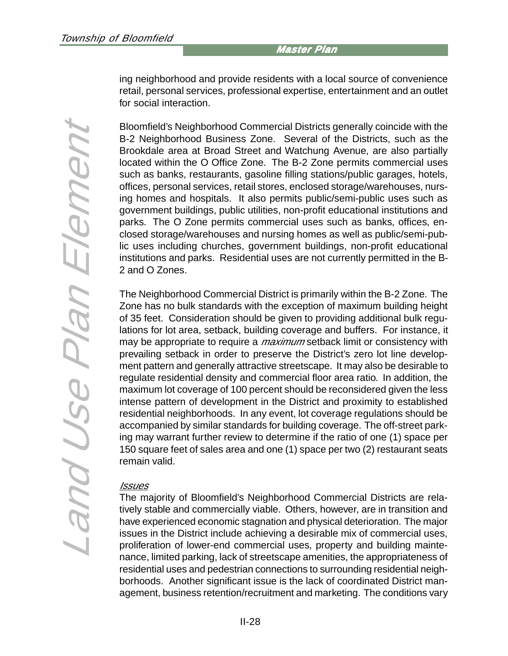ing neighborhood and provide residents with a local source of convenience retail, personal services, professional expertise, entertainment and an outlet for social interaction.

Bloomfield's Neighborhood Commercial Districts generally coincide with the B-2 Neighborhood Business Zone. Several of the Districts, such as the Brookdale area at Broad Street and Watchung Avenue, are also partially located within the O Office Zone. The B-2 Zone permits commercial uses such as banks, restaurants, gasoline filling stations/public garages, hotels, offices, personal services, retail stores, enclosed storage/warehouses, nursing homes and hospitals. It also permits public/semi-public uses such as government buildings, public utilities, non-profit educational institutions and parks. The O Zone permits commercial uses such as banks, offices, enclosed storage/warehouses and nursing homes as well as public/semi-public uses including churches, government buildings, non-profit educational institutions and parks. Residential uses are not currently permitted in the B-2 and O Zones.

The Neighborhood Commercial District is primarily within the B-2 Zone. The Zone has no bulk standards with the exception of maximum building height of 35 feet. Consideration should be given to providing additional bulk regulations for lot area, setback, building coverage and buffers. For instance, it may be appropriate to require a *maximum* setback limit or consistency with prevailing setback in order to preserve the District's zero lot line development pattern and generally attractive streetscape. It may also be desirable to regulate residential density and commercial floor area ratio. In addition, the maximum lot coverage of 100 percent should be reconsidered given the less intense pattern of development in the District and proximity to established residential neighborhoods. In any event, lot coverage regulations should be accompanied by similar standards for building coverage. The off-street parking may warrant further review to determine if the ratio of one (1) space per 150 square feet of sales area and one (1) space per two (2) restaurant seats remain valid.

#### Issues

The majority of Bloomfield's Neighborhood Commercial Districts are relatively stable and commercially viable. Others, however, are in transition and have experienced economic stagnation and physical deterioration. The major issues in the District include achieving a desirable mix of commercial uses, proliferation of lower-end commercial uses, property and building maintenance, limited parking, lack of streetscape amenities, the appropriateness of residential uses and pedestrian connections to surrounding residential neighborhoods. Another significant issue is the lack of coordinated District management, business retention/recruitment and marketing. The conditions vary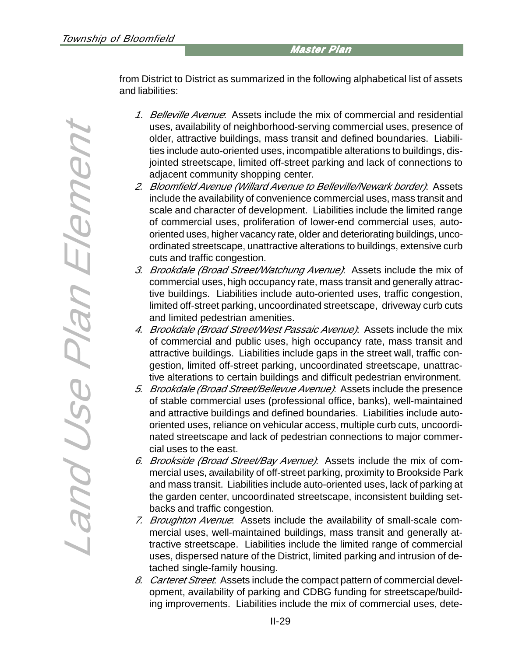from District to District as summarized in the following alphabetical list of assets and liabilities:

- 1. Belleville Avenue: Assets include the mix of commercial and residential uses, availability of neighborhood-serving commercial uses, presence of older, attractive buildings, mass transit and defined boundaries. Liabilities include auto-oriented uses, incompatible alterations to buildings, disjointed streetscape, limited off-street parking and lack of connections to adjacent community shopping center.
- 2. Bloomfield Avenue (Willard Avenue to Belleville/Newark border): Assets include the availability of convenience commercial uses, mass transit and scale and character of development. Liabilities include the limited range of commercial uses, proliferation of lower-end commercial uses, autooriented uses, higher vacancy rate, older and deteriorating buildings, uncoordinated streetscape, unattractive alterations to buildings, extensive curb cuts and traffic congestion.
- 3. Brookdale (Broad Street/Watchung Avenue): Assets include the mix of commercial uses, high occupancy rate, mass transit and generally attractive buildings. Liabilities include auto-oriented uses, traffic congestion, limited off-street parking, uncoordinated streetscape, driveway curb cuts and limited pedestrian amenities.
- 4. Brookdale (Broad Street/West Passaic Avenue): Assets include the mix of commercial and public uses, high occupancy rate, mass transit and attractive buildings. Liabilities include gaps in the street wall, traffic congestion, limited off-street parking, uncoordinated streetscape, unattractive alterations to certain buildings and difficult pedestrian environment.
- 5. Brookdale (Broad Street/Bellevue Avenue): Assets include the presence of stable commercial uses (professional office, banks), well-maintained and attractive buildings and defined boundaries. Liabilities include autooriented uses, reliance on vehicular access, multiple curb cuts, uncoordinated streetscape and lack of pedestrian connections to major commercial uses to the east.
- 6. Brookside (Broad Street/Bay Avenue): Assets include the mix of commercial uses, availability of off-street parking, proximity to Brookside Park and mass transit. Liabilities include auto-oriented uses, lack of parking at the garden center, uncoordinated streetscape, inconsistent building setbacks and traffic congestion.
- 7. Broughton Avenue. Assets include the availability of small-scale commercial uses, well-maintained buildings, mass transit and generally attractive streetscape. Liabilities include the limited range of commercial uses, dispersed nature of the District, limited parking and intrusion of detached single-family housing.
- 8. Carteret Street. Assets include the compact pattern of commercial development, availability of parking and CDBG funding for streetscape/building improvements. Liabilities include the mix of commercial uses, dete-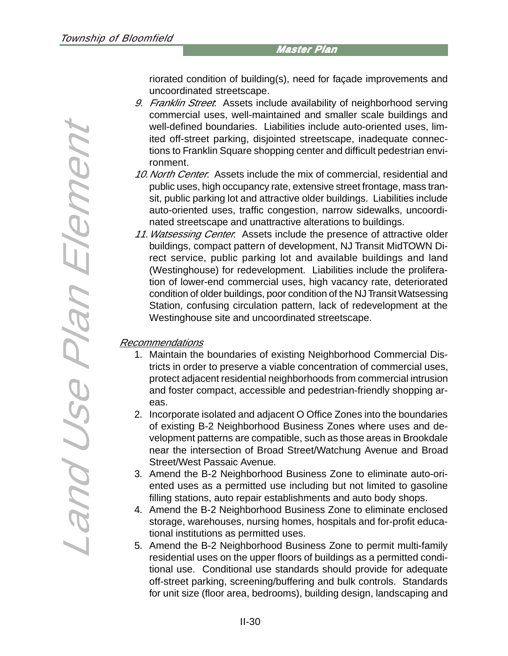riorated condition of building(s), need for façade improvements and uncoordinated streetscape.

- 9. Franklin Street: Assets include availability of neighborhood serving commercial uses, well-maintained and smaller scale buildings and well-defined boundaries. Liabilities include auto-oriented uses, limited off-street parking, disjointed streetscape, inadequate connections to Franklin Square shopping center and difficult pedestrian environment.
- 10. North Center: Assets include the mix of commercial, residential and public uses, high occupancy rate, extensive street frontage, mass transit, public parking lot and attractive older buildings. Liabilities include auto-oriented uses, traffic congestion, narrow sidewalks, uncoordinated streetscape and unattractive alterations to buildings.
- 11. Watsessing Center: Assets include the presence of attractive older buildings, compact pattern of development, NJ Transit MidTOWN Direct service, public parking lot and available buildings and land (Westinghouse) for redevelopment. Liabilities include the proliferation of lower-end commercial uses, high vacancy rate, deteriorated condition of older buildings, poor condition of the NJ Transit Watsessing Station, confusing circulation pattern, lack of redevelopment at the Westinghouse site and uncoordinated streetscape.

#### Recommendations

- 1. Maintain the boundaries of existing Neighborhood Commercial Districts in order to preserve a viable concentration of commercial uses, protect adjacent residential neighborhoods from commercial intrusion and foster compact, accessible and pedestrian-friendly shopping areas.
- 2. Incorporate isolated and adjacent O Office Zones into the boundaries of existing B-2 Neighborhood Business Zones where uses and development patterns are compatible, such as those areas in Brookdale near the intersection of Broad Street/Watchung Avenue and Broad Street/West Passaic Avenue.
- 3. Amend the B-2 Neighborhood Business Zone to eliminate auto-oriented uses as a permitted use including but not limited to gasoline filling stations, auto repair establishments and auto body shops.
- 4. Amend the B-2 Neighborhood Business Zone to eliminate enclosed storage, warehouses, nursing homes, hospitals and for-profit educational institutions as permitted uses.
- 5. Amend the B-2 Neighborhood Business Zone to permit multi-family residential uses on the upper floors of buildings as a permitted conditional use. Conditional use standards should provide for adequate off-street parking, screening/buffering and bulk controls. Standards for unit size (floor area, bedrooms), building design, landscaping and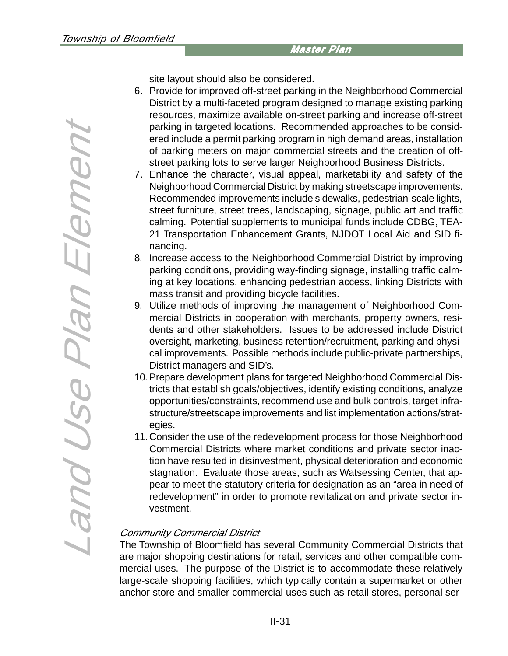site layout should also be considered.

- 6. Provide for improved off-street parking in the Neighborhood Commercial District by a multi-faceted program designed to manage existing parking resources, maximize available on-street parking and increase off-street parking in targeted locations. Recommended approaches to be considered include a permit parking program in high demand areas, installation of parking meters on major commercial streets and the creation of offstreet parking lots to serve larger Neighborhood Business Districts.
- 7. Enhance the character, visual appeal, marketability and safety of the Neighborhood Commercial District by making streetscape improvements. Recommended improvements include sidewalks, pedestrian-scale lights, street furniture, street trees, landscaping, signage, public art and traffic calming. Potential supplements to municipal funds include CDBG, TEA-21 Transportation Enhancement Grants, NJDOT Local Aid and SID financing.
- 8. Increase access to the Neighborhood Commercial District by improving parking conditions, providing way-finding signage, installing traffic calming at key locations, enhancing pedestrian access, linking Districts with mass transit and providing bicycle facilities.
- 9. Utilize methods of improving the management of Neighborhood Commercial Districts in cooperation with merchants, property owners, residents and other stakeholders. Issues to be addressed include District oversight, marketing, business retention/recruitment, parking and physical improvements. Possible methods include public-private partnerships, District managers and SID's.
- 10.Prepare development plans for targeted Neighborhood Commercial Districts that establish goals/objectives, identify existing conditions, analyze opportunities/constraints, recommend use and bulk controls, target infrastructure/streetscape improvements and list implementation actions/strategies.
- 11.Consider the use of the redevelopment process for those Neighborhood Commercial Districts where market conditions and private sector inaction have resulted in disinvestment, physical deterioration and economic stagnation. Evaluate those areas, such as Watsessing Center, that appear to meet the statutory criteria for designation as an "area in need of redevelopment" in order to promote revitalization and private sector investment.

# **Community Commercial District**

The Township of Bloomfield has several Community Commercial Districts that are major shopping destinations for retail, services and other compatible commercial uses. The purpose of the District is to accommodate these relatively large-scale shopping facilities, which typically contain a supermarket or other anchor store and smaller commercial uses such as retail stores, personal ser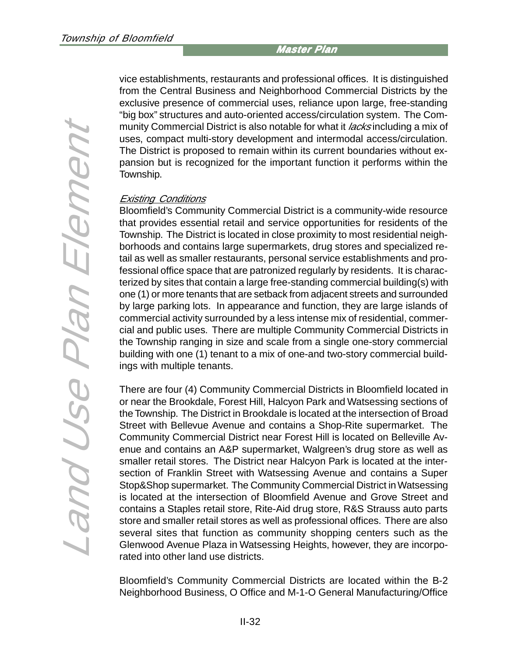vice establishments, restaurants and professional offices. It is distinguished from the Central Business and Neighborhood Commercial Districts by the exclusive presence of commercial uses, reliance upon large, free-standing "big box" structures and auto-oriented access/circulation system. The Community Commercial District is also notable for what it *lacks* including a mix of uses, compact multi-story development and intermodal access/circulation. The District is proposed to remain within its current boundaries without expansion but is recognized for the important function it performs within the Township.

#### Existing Conditions

Bloomfield's Community Commercial District is a community-wide resource that provides essential retail and service opportunities for residents of the Township. The District is located in close proximity to most residential neighborhoods and contains large supermarkets, drug stores and specialized retail as well as smaller restaurants, personal service establishments and professional office space that are patronized regularly by residents. It is characterized by sites that contain a large free-standing commercial building(s) with one (1) or more tenants that are setback from adjacent streets and surrounded by large parking lots. In appearance and function, they are large islands of commercial activity surrounded by a less intense mix of residential, commercial and public uses. There are multiple Community Commercial Districts in the Township ranging in size and scale from a single one-story commercial building with one (1) tenant to a mix of one-and two-story commercial buildings with multiple tenants.

There are four (4) Community Commercial Districts in Bloomfield located in or near the Brookdale, Forest Hill, Halcyon Park and Watsessing sections of the Township. The District in Brookdale is located at the intersection of Broad Street with Bellevue Avenue and contains a Shop-Rite supermarket. The Community Commercial District near Forest Hill is located on Belleville Avenue and contains an A&P supermarket, Walgreen's drug store as well as smaller retail stores. The District near Halcyon Park is located at the intersection of Franklin Street with Watsessing Avenue and contains a Super Stop&Shop supermarket. The Community Commercial District in Watsessing is located at the intersection of Bloomfield Avenue and Grove Street and contains a Staples retail store, Rite-Aid drug store, R&S Strauss auto parts store and smaller retail stores as well as professional offices. There are also several sites that function as community shopping centers such as the Glenwood Avenue Plaza in Watsessing Heights, however, they are incorporated into other land use districts.

Bloomfield's Community Commercial Districts are located within the B-2 Neighborhood Business, O Office and M-1-O General Manufacturing/Office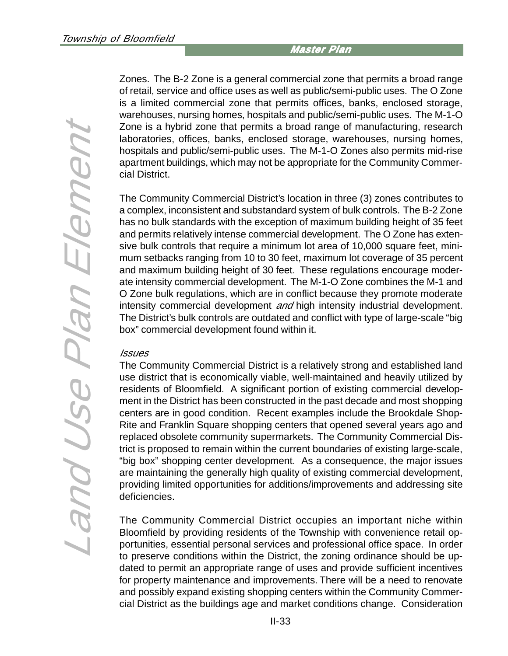Zones. The B-2 Zone is a general commercial zone that permits a broad range of retail, service and office uses as well as public/semi-public uses. The O Zone is a limited commercial zone that permits offices, banks, enclosed storage, warehouses, nursing homes, hospitals and public/semi-public uses. The M-1-O Zone is a hybrid zone that permits a broad range of manufacturing, research laboratories, offices, banks, enclosed storage, warehouses, nursing homes, hospitals and public/semi-public uses. The M-1-O Zones also permits mid-rise apartment buildings, which may not be appropriate for the Community Commercial District.

The Community Commercial District's location in three (3) zones contributes to a complex, inconsistent and substandard system of bulk controls. The B-2 Zone has no bulk standards with the exception of maximum building height of 35 feet and permits relatively intense commercial development. The O Zone has extensive bulk controls that require a minimum lot area of 10,000 square feet, minimum setbacks ranging from 10 to 30 feet, maximum lot coverage of 35 percent and maximum building height of 30 feet. These regulations encourage moderate intensity commercial development. The M-1-O Zone combines the M-1 and O Zone bulk regulations, which are in conflict because they promote moderate intensity commercial development and high intensity industrial development. The District's bulk controls are outdated and conflict with type of large-scale "big box" commercial development found within it.

#### Issues

The Community Commercial District is a relatively strong and established land use district that is economically viable, well-maintained and heavily utilized by residents of Bloomfield. A significant portion of existing commercial development in the District has been constructed in the past decade and most shopping centers are in good condition. Recent examples include the Brookdale Shop-Rite and Franklin Square shopping centers that opened several years ago and replaced obsolete community supermarkets. The Community Commercial District is proposed to remain within the current boundaries of existing large-scale, "big box" shopping center development. As a consequence, the major issues are maintaining the generally high quality of existing commercial development, providing limited opportunities for additions/improvements and addressing site deficiencies.

The Community Commercial District occupies an important niche within Bloomfield by providing residents of the Township with convenience retail opportunities, essential personal services and professional office space. In order to preserve conditions within the District, the zoning ordinance should be updated to permit an appropriate range of uses and provide sufficient incentives for property maintenance and improvements. There will be a need to renovate and possibly expand existing shopping centers within the Community Commercial District as the buildings age and market conditions change. Consideration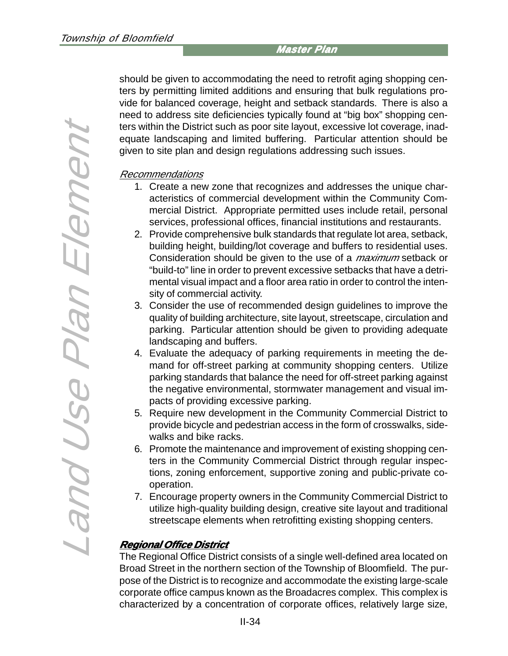should be given to accommodating the need to retrofit aging shopping centers by permitting limited additions and ensuring that bulk regulations provide for balanced coverage, height and setback standards. There is also a need to address site deficiencies typically found at "big box" shopping centers within the District such as poor site layout, excessive lot coverage, inadequate landscaping and limited buffering. Particular attention should be given to site plan and design regulations addressing such issues.

#### Recommendations

- 1. Create a new zone that recognizes and addresses the unique characteristics of commercial development within the Community Commercial District. Appropriate permitted uses include retail, personal services, professional offices, financial institutions and restaurants.
- 2. Provide comprehensive bulk standards that regulate lot area, setback, building height, building/lot coverage and buffers to residential uses. Consideration should be given to the use of a *maximum* setback or "build-to" line in order to prevent excessive setbacks that have a detrimental visual impact and a floor area ratio in order to control the intensity of commercial activity.
- 3. Consider the use of recommended design guidelines to improve the quality of building architecture, site layout, streetscape, circulation and parking. Particular attention should be given to providing adequate landscaping and buffers.
- 4. Evaluate the adequacy of parking requirements in meeting the demand for off-street parking at community shopping centers. Utilize parking standards that balance the need for off-street parking against the negative environmental, stormwater management and visual impacts of providing excessive parking.
- 5. Require new development in the Community Commercial District to provide bicycle and pedestrian access in the form of crosswalks, sidewalks and bike racks.
- 6. Promote the maintenance and improvement of existing shopping centers in the Community Commercial District through regular inspections, zoning enforcement, supportive zoning and public-private cooperation.
- 7. Encourage property owners in the Community Commercial District to utilize high-quality building design, creative site layout and traditional streetscape elements when retrofitting existing shopping centers.

# **Regional Office District Office District**

The Regional Office District consists of a single well-defined area located on Broad Street in the northern section of the Township of Bloomfield. The purpose of the District is to recognize and accommodate the existing large-scale corporate office campus known as the Broadacres complex. This complex is characterized by a concentration of corporate offices, relatively large size,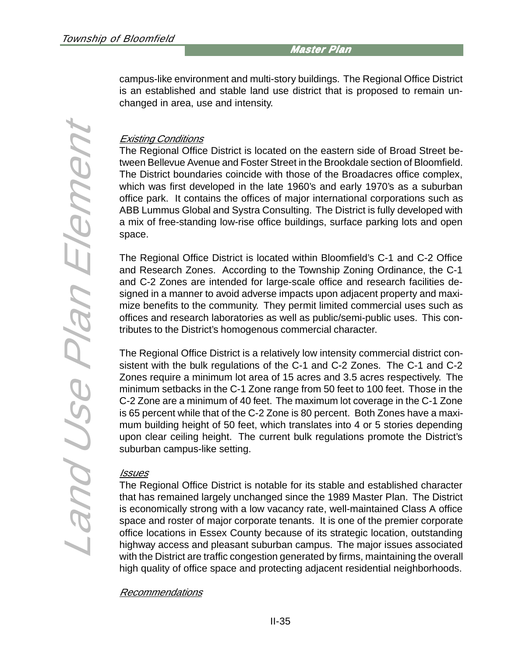campus-like environment and multi-story buildings. The Regional Office District is an established and stable land use district that is proposed to remain unchanged in area, use and intensity.

## Existing Conditions

The Regional Office District is located on the eastern side of Broad Street between Bellevue Avenue and Foster Street in the Brookdale section of Bloomfield. The District boundaries coincide with those of the Broadacres office complex, which was first developed in the late 1960's and early 1970's as a suburban office park. It contains the offices of major international corporations such as ABB Lummus Global and Systra Consulting. The District is fully developed with a mix of free-standing low-rise office buildings, surface parking lots and open space.

The Regional Office District is located within Bloomfield's C-1 and C-2 Office and Research Zones. According to the Township Zoning Ordinance, the C-1 and C-2 Zones are intended for large-scale office and research facilities designed in a manner to avoid adverse impacts upon adjacent property and maximize benefits to the community. They permit limited commercial uses such as offices and research laboratories as well as public/semi-public uses. This contributes to the District's homogenous commercial character.

The Regional Office District is a relatively low intensity commercial district consistent with the bulk regulations of the C-1 and C-2 Zones. The C-1 and C-2 Zones require a minimum lot area of 15 acres and 3.5 acres respectively. The minimum setbacks in the C-1 Zone range from 50 feet to 100 feet. Those in the C-2 Zone are a minimum of 40 feet. The maximum lot coverage in the C-1 Zone is 65 percent while that of the C-2 Zone is 80 percent. Both Zones have a maximum building height of 50 feet, which translates into 4 or 5 stories depending upon clear ceiling height. The current bulk regulations promote the District's suburban campus-like setting.

#### **Issues**

The Regional Office District is notable for its stable and established character that has remained largely unchanged since the 1989 Master Plan. The District is economically strong with a low vacancy rate, well-maintained Class A office space and roster of major corporate tenants. It is one of the premier corporate office locations in Essex County because of its strategic location, outstanding highway access and pleasant suburban campus. The major issues associated with the District are traffic congestion generated by firms, maintaining the overall high quality of office space and protecting adjacent residential neighborhoods.

#### Recommendations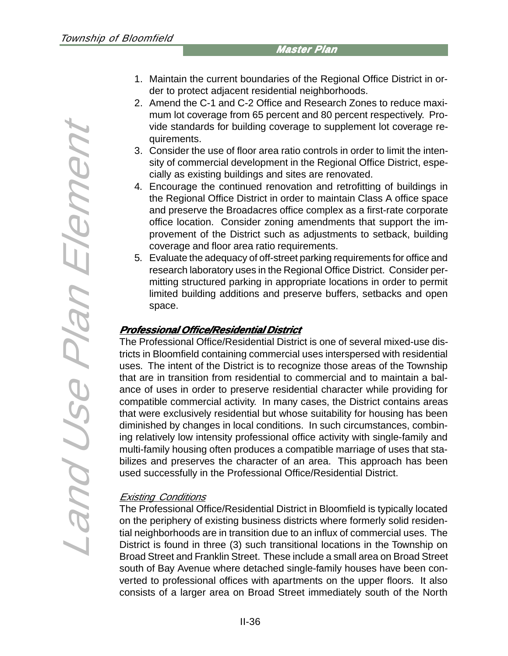- Land Use Plan Element Land Use Plan Element
- 1. Maintain the current boundaries of the Regional Office District in order to protect adjacent residential neighborhoods.
- 2. Amend the C-1 and C-2 Office and Research Zones to reduce maximum lot coverage from 65 percent and 80 percent respectively. Provide standards for building coverage to supplement lot coverage requirements.
- 3. Consider the use of floor area ratio controls in order to limit the intensity of commercial development in the Regional Office District, especially as existing buildings and sites are renovated.
- 4. Encourage the continued renovation and retrofitting of buildings in the Regional Office District in order to maintain Class A office space and preserve the Broadacres office complex as a first-rate corporate office location. Consider zoning amendments that support the improvement of the District such as adjustments to setback, building coverage and floor area ratio requirements.
- 5. Evaluate the adequacy of off-street parking requirements for office and research laboratory uses in the Regional Office District. Consider permitting structured parking in appropriate locations in order to permit limited building additions and preserve buffers, setbacks and open space.

#### **Professional Office/Residential District Office/Residential District**

The Professional Office/Residential District is one of several mixed-use districts in Bloomfield containing commercial uses interspersed with residential uses. The intent of the District is to recognize those areas of the Township that are in transition from residential to commercial and to maintain a balance of uses in order to preserve residential character while providing for compatible commercial activity. In many cases, the District contains areas that were exclusively residential but whose suitability for housing has been diminished by changes in local conditions. In such circumstances, combining relatively low intensity professional office activity with single-family and multi-family housing often produces a compatible marriage of uses that stabilizes and preserves the character of an area. This approach has been used successfully in the Professional Office/Residential District.

#### Existing Conditions

The Professional Office/Residential District in Bloomfield is typically located on the periphery of existing business districts where formerly solid residential neighborhoods are in transition due to an influx of commercial uses. The District is found in three (3) such transitional locations in the Township on Broad Street and Franklin Street. These include a small area on Broad Street south of Bay Avenue where detached single-family houses have been converted to professional offices with apartments on the upper floors. It also consists of a larger area on Broad Street immediately south of the North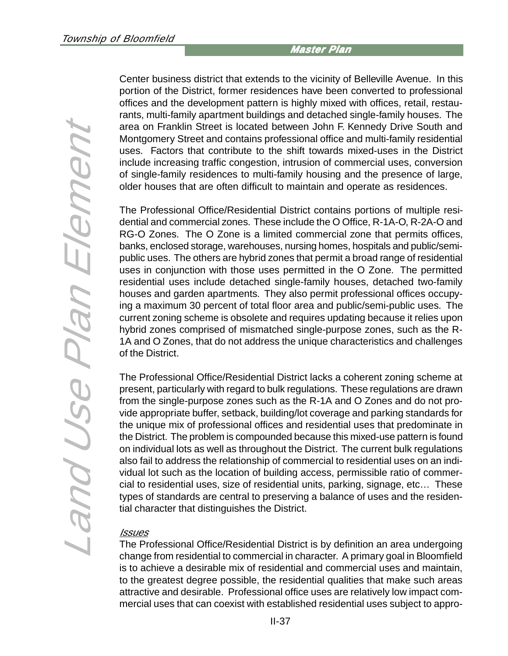Land Use Plan Element Land Use Plan Element Center business district that extends to the vicinity of Belleville Avenue. In this portion of the District, former residences have been converted to professional offices and the development pattern is highly mixed with offices, retail, restaurants, multi-family apartment buildings and detached single-family houses. The area on Franklin Street is located between John F. Kennedy Drive South and Montgomery Street and contains professional office and multi-family residential uses. Factors that contribute to the shift towards mixed-uses in the District include increasing traffic congestion, intrusion of commercial uses, conversion of single-family residences to multi-family housing and the presence of large, older houses that are often difficult to maintain and operate as residences.

The Professional Office/Residential District contains portions of multiple residential and commercial zones. These include the O Office, R-1A-O, R-2A-O and RG-O Zones. The O Zone is a limited commercial zone that permits offices, banks, enclosed storage, warehouses, nursing homes, hospitals and public/semipublic uses. The others are hybrid zones that permit a broad range of residential uses in conjunction with those uses permitted in the O Zone. The permitted residential uses include detached single-family houses, detached two-family houses and garden apartments. They also permit professional offices occupying a maximum 30 percent of total floor area and public/semi-public uses. The current zoning scheme is obsolete and requires updating because it relies upon hybrid zones comprised of mismatched single-purpose zones, such as the R-1A and O Zones, that do not address the unique characteristics and challenges of the District.

The Professional Office/Residential District lacks a coherent zoning scheme at present, particularly with regard to bulk regulations. These regulations are drawn from the single-purpose zones such as the R-1A and O Zones and do not provide appropriate buffer, setback, building/lot coverage and parking standards for the unique mix of professional offices and residential uses that predominate in the District. The problem is compounded because this mixed-use pattern is found on individual lots as well as throughout the District. The current bulk regulations also fail to address the relationship of commercial to residential uses on an individual lot such as the location of building access, permissible ratio of commercial to residential uses, size of residential units, parking, signage, etc… These types of standards are central to preserving a balance of uses and the residential character that distinguishes the District.

#### **Issues**

The Professional Office/Residential District is by definition an area undergoing change from residential to commercial in character. A primary goal in Bloomfield is to achieve a desirable mix of residential and commercial uses and maintain, to the greatest degree possible, the residential qualities that make such areas attractive and desirable. Professional office uses are relatively low impact commercial uses that can coexist with established residential uses subject to appro-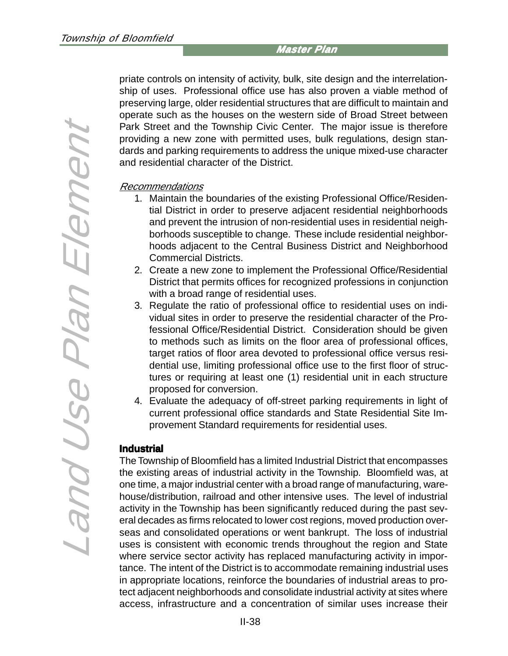priate controls on intensity of activity, bulk, site design and the interrelationship of uses. Professional office use has also proven a viable method of preserving large, older residential structures that are difficult to maintain and operate such as the houses on the western side of Broad Street between Park Street and the Township Civic Center. The major issue is therefore providing a new zone with permitted uses, bulk regulations, design standards and parking requirements to address the unique mixed-use character and residential character of the District.

#### Recommendations

- 1. Maintain the boundaries of the existing Professional Office/Residential District in order to preserve adjacent residential neighborhoods and prevent the intrusion of non-residential uses in residential neighborhoods susceptible to change. These include residential neighborhoods adjacent to the Central Business District and Neighborhood Commercial Districts.
- 2. Create a new zone to implement the Professional Office/Residential District that permits offices for recognized professions in conjunction with a broad range of residential uses.
- 3. Regulate the ratio of professional office to residential uses on individual sites in order to preserve the residential character of the Professional Office/Residential District. Consideration should be given to methods such as limits on the floor area of professional offices, target ratios of floor area devoted to professional office versus residential use, limiting professional office use to the first floor of structures or requiring at least one (1) residential unit in each structure proposed for conversion.
- 4. Evaluate the adequacy of off-street parking requirements in light of current professional office standards and State Residential Site Improvement Standard requirements for residential uses.

#### **Industrial**

The Township of Bloomfield has a limited Industrial District that encompasses the existing areas of industrial activity in the Township. Bloomfield was, at one time, a major industrial center with a broad range of manufacturing, warehouse/distribution, railroad and other intensive uses. The level of industrial activity in the Township has been significantly reduced during the past several decades as firms relocated to lower cost regions, moved production overseas and consolidated operations or went bankrupt. The loss of industrial uses is consistent with economic trends throughout the region and State where service sector activity has replaced manufacturing activity in importance. The intent of the District is to accommodate remaining industrial uses in appropriate locations, reinforce the boundaries of industrial areas to protect adjacent neighborhoods and consolidate industrial activity at sites where access, infrastructure and a concentration of similar uses increase their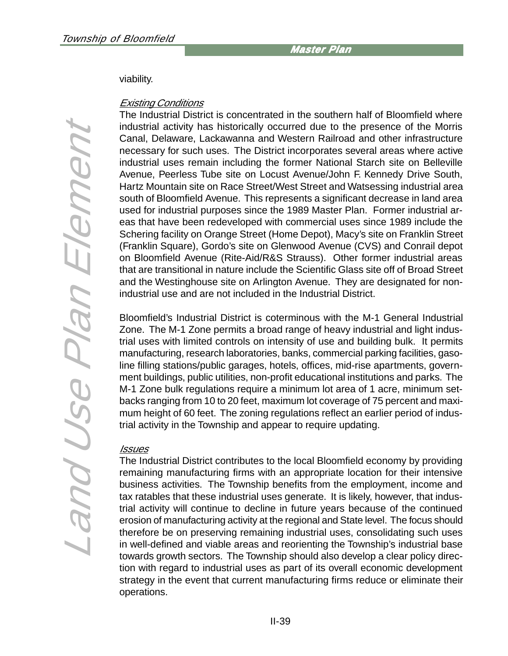#### viability.

#### Existing Conditions

The Industrial District is concentrated in the southern half of Bloomfield where industrial activity has historically occurred due to the presence of the Morris Canal, Delaware, Lackawanna and Western Railroad and other infrastructure necessary for such uses. The District incorporates several areas where active industrial uses remain including the former National Starch site on Belleville Avenue, Peerless Tube site on Locust Avenue/John F. Kennedy Drive South, Hartz Mountain site on Race Street/West Street and Watsessing industrial area south of Bloomfield Avenue. This represents a significant decrease in land area used for industrial purposes since the 1989 Master Plan. Former industrial areas that have been redeveloped with commercial uses since 1989 include the Schering facility on Orange Street (Home Depot), Macy's site on Franklin Street (Franklin Square), Gordo's site on Glenwood Avenue (CVS) and Conrail depot on Bloomfield Avenue (Rite-Aid/R&S Strauss). Other former industrial areas that are transitional in nature include the Scientific Glass site off of Broad Street and the Westinghouse site on Arlington Avenue. They are designated for nonindustrial use and are not included in the Industrial District.

Bloomfield's Industrial District is coterminous with the M-1 General Industrial Zone. The M-1 Zone permits a broad range of heavy industrial and light industrial uses with limited controls on intensity of use and building bulk. It permits manufacturing, research laboratories, banks, commercial parking facilities, gasoline filling stations/public garages, hotels, offices, mid-rise apartments, government buildings, public utilities, non-profit educational institutions and parks. The M-1 Zone bulk regulations require a minimum lot area of 1 acre, minimum setbacks ranging from 10 to 20 feet, maximum lot coverage of 75 percent and maximum height of 60 feet. The zoning regulations reflect an earlier period of industrial activity in the Township and appear to require updating.

#### Issues

The Industrial District contributes to the local Bloomfield economy by providing remaining manufacturing firms with an appropriate location for their intensive business activities. The Township benefits from the employment, income and tax ratables that these industrial uses generate. It is likely, however, that industrial activity will continue to decline in future years because of the continued erosion of manufacturing activity at the regional and State level. The focus should therefore be on preserving remaining industrial uses, consolidating such uses in well-defined and viable areas and reorienting the Township's industrial base towards growth sectors. The Township should also develop a clear policy direction with regard to industrial uses as part of its overall economic development strategy in the event that current manufacturing firms reduce or eliminate their operations.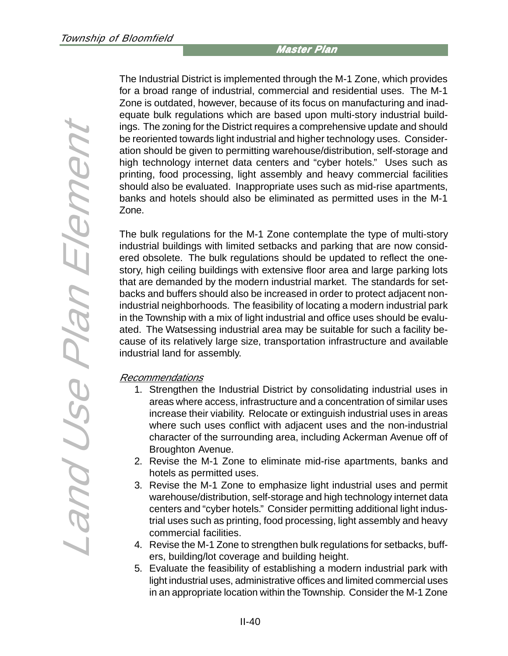Land Use Plan Element Land Use Plan Element The Industrial District is implemented through the M-1 Zone, which provides for a broad range of industrial, commercial and residential uses. The M-1 Zone is outdated, however, because of its focus on manufacturing and inadequate bulk regulations which are based upon multi-story industrial buildings. The zoning for the District requires a comprehensive update and should be reoriented towards light industrial and higher technology uses. Consideration should be given to permitting warehouse/distribution, self-storage and high technology internet data centers and "cyber hotels." Uses such as printing, food processing, light assembly and heavy commercial facilities should also be evaluated. Inappropriate uses such as mid-rise apartments, banks and hotels should also be eliminated as permitted uses in the M-1 Zone.

The bulk regulations for the M-1 Zone contemplate the type of multi-story industrial buildings with limited setbacks and parking that are now considered obsolete. The bulk regulations should be updated to reflect the onestory, high ceiling buildings with extensive floor area and large parking lots that are demanded by the modern industrial market. The standards for setbacks and buffers should also be increased in order to protect adjacent nonindustrial neighborhoods. The feasibility of locating a modern industrial park in the Township with a mix of light industrial and office uses should be evaluated. The Watsessing industrial area may be suitable for such a facility because of its relatively large size, transportation infrastructure and available industrial land for assembly.

#### Recommendations

- 1. Strengthen the Industrial District by consolidating industrial uses in areas where access, infrastructure and a concentration of similar uses increase their viability. Relocate or extinguish industrial uses in areas where such uses conflict with adjacent uses and the non-industrial character of the surrounding area, including Ackerman Avenue off of Broughton Avenue.
- 2. Revise the M-1 Zone to eliminate mid-rise apartments, banks and hotels as permitted uses.
- 3. Revise the M-1 Zone to emphasize light industrial uses and permit warehouse/distribution, self-storage and high technology internet data centers and "cyber hotels." Consider permitting additional light industrial uses such as printing, food processing, light assembly and heavy commercial facilities.
- 4. Revise the M-1 Zone to strengthen bulk regulations for setbacks, buffers, building/lot coverage and building height.
- 5. Evaluate the feasibility of establishing a modern industrial park with light industrial uses, administrative offices and limited commercial uses in an appropriate location within the Township. Consider the M-1 Zone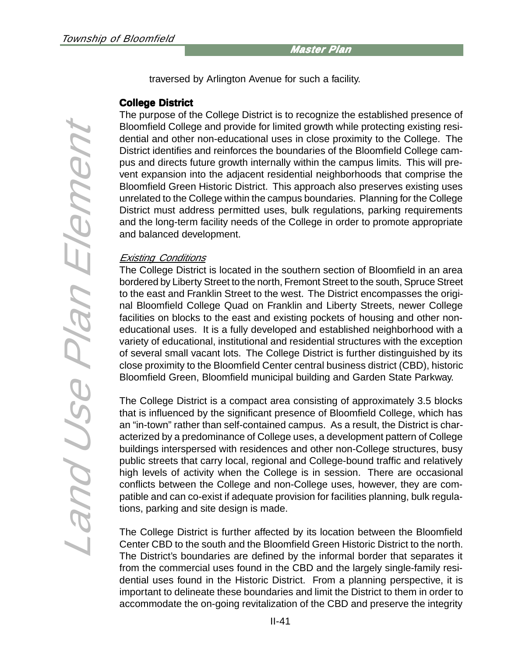traversed by Arlington Avenue for such a facility.

#### **College District College District**

The purpose of the College District is to recognize the established presence of Bloomfield College and provide for limited growth while protecting existing residential and other non-educational uses in close proximity to the College. The District identifies and reinforces the boundaries of the Bloomfield College campus and directs future growth internally within the campus limits. This will prevent expansion into the adjacent residential neighborhoods that comprise the Bloomfield Green Historic District. This approach also preserves existing uses unrelated to the College within the campus boundaries. Planning for the College District must address permitted uses, bulk regulations, parking requirements and the long-term facility needs of the College in order to promote appropriate and balanced development.

#### Existing Conditions

The College District is located in the southern section of Bloomfield in an area bordered by Liberty Street to the north, Fremont Street to the south, Spruce Street to the east and Franklin Street to the west. The District encompasses the original Bloomfield College Quad on Franklin and Liberty Streets, newer College facilities on blocks to the east and existing pockets of housing and other noneducational uses. It is a fully developed and established neighborhood with a variety of educational, institutional and residential structures with the exception of several small vacant lots. The College District is further distinguished by its close proximity to the Bloomfield Center central business district (CBD), historic Bloomfield Green, Bloomfield municipal building and Garden State Parkway.

The College District is a compact area consisting of approximately 3.5 blocks that is influenced by the significant presence of Bloomfield College, which has an "in-town" rather than self-contained campus. As a result, the District is characterized by a predominance of College uses, a development pattern of College buildings interspersed with residences and other non-College structures, busy public streets that carry local, regional and College-bound traffic and relatively high levels of activity when the College is in session. There are occasional conflicts between the College and non-College uses, however, they are compatible and can co-exist if adequate provision for facilities planning, bulk regulations, parking and site design is made.

The College District is further affected by its location between the Bloomfield Center CBD to the south and the Bloomfield Green Historic District to the north. The District's boundaries are defined by the informal border that separates it from the commercial uses found in the CBD and the largely single-family residential uses found in the Historic District. From a planning perspective, it is important to delineate these boundaries and limit the District to them in order to accommodate the on-going revitalization of the CBD and preserve the integrity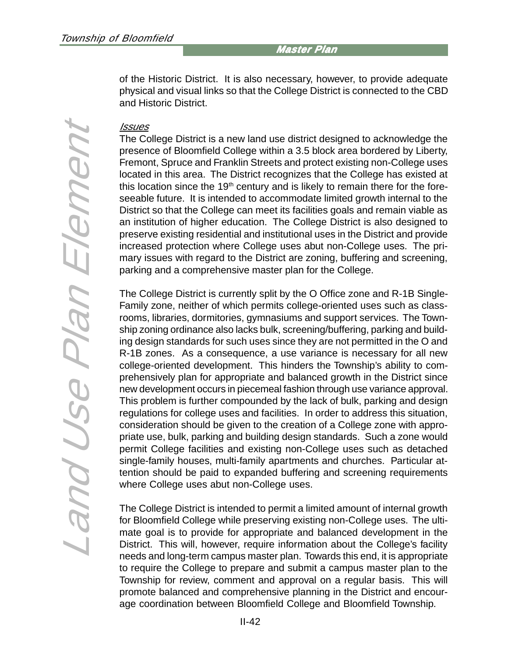of the Historic District. It is also necessary, however, to provide adequate physical and visual links so that the College District is connected to the CBD and Historic District.

#### <u>Issues</u>

The College District is a new land use district designed to acknowledge the presence of Bloomfield College within a 3.5 block area bordered by Liberty, Fremont, Spruce and Franklin Streets and protect existing non-College uses located in this area. The District recognizes that the College has existed at this location since the  $19<sup>th</sup>$  century and is likely to remain there for the foreseeable future. It is intended to accommodate limited growth internal to the District so that the College can meet its facilities goals and remain viable as an institution of higher education. The College District is also designed to preserve existing residential and institutional uses in the District and provide increased protection where College uses abut non-College uses. The primary issues with regard to the District are zoning, buffering and screening, parking and a comprehensive master plan for the College.

The College District is currently split by the O Office zone and R-1B Single-Family zone, neither of which permits college-oriented uses such as classrooms, libraries, dormitories, gymnasiums and support services. The Township zoning ordinance also lacks bulk, screening/buffering, parking and building design standards for such uses since they are not permitted in the O and R-1B zones. As a consequence, a use variance is necessary for all new college-oriented development. This hinders the Township's ability to comprehensively plan for appropriate and balanced growth in the District since new development occurs in piecemeal fashion through use variance approval. This problem is further compounded by the lack of bulk, parking and design regulations for college uses and facilities. In order to address this situation, consideration should be given to the creation of a College zone with appropriate use, bulk, parking and building design standards. Such a zone would permit College facilities and existing non-College uses such as detached single-family houses, multi-family apartments and churches. Particular attention should be paid to expanded buffering and screening requirements where College uses abut non-College uses.

The College District is intended to permit a limited amount of internal growth for Bloomfield College while preserving existing non-College uses. The ultimate goal is to provide for appropriate and balanced development in the District. This will, however, require information about the College's facility needs and long-term campus master plan. Towards this end, it is appropriate to require the College to prepare and submit a campus master plan to the Township for review, comment and approval on a regular basis. This will promote balanced and comprehensive planning in the District and encourage coordination between Bloomfield College and Bloomfield Township.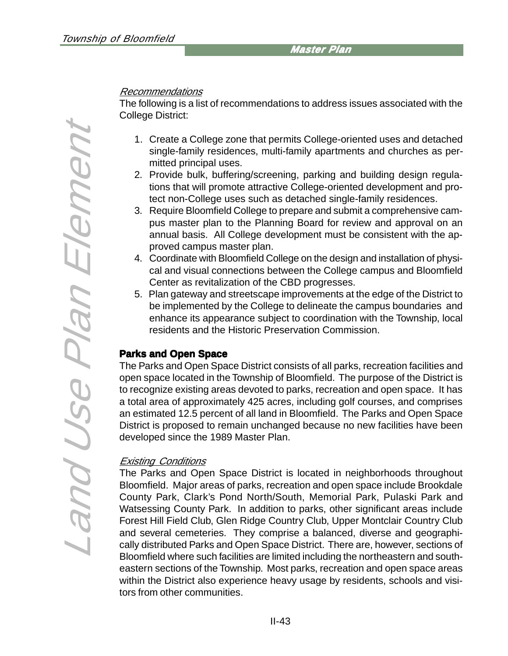#### Recommendations

The following is a list of recommendations to address issues associated with the College District:

- 1. Create a College zone that permits College-oriented uses and detached single-family residences, multi-family apartments and churches as permitted principal uses.
- 2. Provide bulk, buffering/screening, parking and building design regulations that will promote attractive College-oriented development and protect non-College uses such as detached single-family residences.
- 3. Require Bloomfield College to prepare and submit a comprehensive campus master plan to the Planning Board for review and approval on an annual basis. All College development must be consistent with the approved campus master plan.
- 4. Coordinate with Bloomfield College on the design and installation of physical and visual connections between the College campus and Bloomfield Center as revitalization of the CBD progresses.
- 5. Plan gateway and streetscape improvements at the edge of the District to be implemented by the College to delineate the campus boundaries and enhance its appearance subject to coordination with the Township, local residents and the Historic Preservation Commission.

#### **Parks and Open Space**

The Parks and Open Space District consists of all parks, recreation facilities and open space located in the Township of Bloomfield. The purpose of the District is to recognize existing areas devoted to parks, recreation and open space. It has a total area of approximately 425 acres, including golf courses, and comprises an estimated 12.5 percent of all land in Bloomfield. The Parks and Open Space District is proposed to remain unchanged because no new facilities have been developed since the 1989 Master Plan.

#### Existing Conditions

The Parks and Open Space District is located in neighborhoods throughout Bloomfield. Major areas of parks, recreation and open space include Brookdale County Park, Clark's Pond North/South, Memorial Park, Pulaski Park and Watsessing County Park. In addition to parks, other significant areas include Forest Hill Field Club, Glen Ridge Country Club, Upper Montclair Country Club and several cemeteries. They comprise a balanced, diverse and geographically distributed Parks and Open Space District. There are, however, sections of Bloomfield where such facilities are limited including the northeastern and southeastern sections of the Township. Most parks, recreation and open space areas within the District also experience heavy usage by residents, schools and visitors from other communities.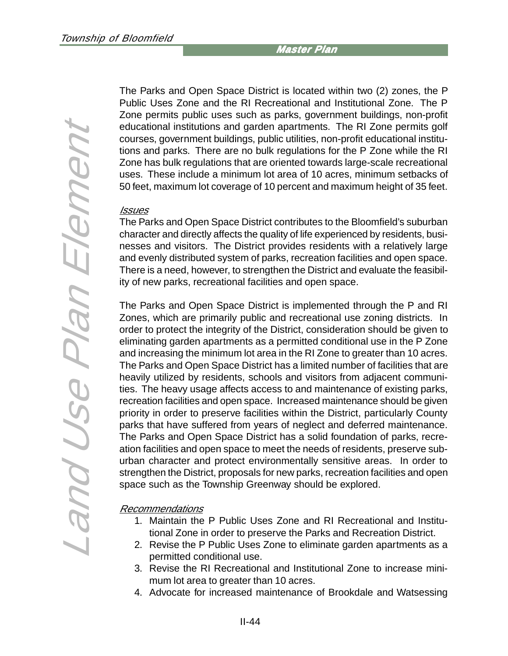The Parks and Open Space District is located within two (2) zones, the P Public Uses Zone and the RI Recreational and Institutional Zone. The P Zone permits public uses such as parks, government buildings, non-profit educational institutions and garden apartments. The RI Zone permits golf courses, government buildings, public utilities, non-profit educational institutions and parks. There are no bulk regulations for the P Zone while the RI Zone has bulk regulations that are oriented towards large-scale recreational uses. These include a minimum lot area of 10 acres, minimum setbacks of 50 feet, maximum lot coverage of 10 percent and maximum height of 35 feet.

#### Issues

The Parks and Open Space District contributes to the Bloomfield's suburban character and directly affects the quality of life experienced by residents, businesses and visitors. The District provides residents with a relatively large and evenly distributed system of parks, recreation facilities and open space. There is a need, however, to strengthen the District and evaluate the feasibility of new parks, recreational facilities and open space.

The Parks and Open Space District is implemented through the P and RI Zones, which are primarily public and recreational use zoning districts. In order to protect the integrity of the District, consideration should be given to eliminating garden apartments as a permitted conditional use in the P Zone and increasing the minimum lot area in the RI Zone to greater than 10 acres. The Parks and Open Space District has a limited number of facilities that are heavily utilized by residents, schools and visitors from adjacent communities. The heavy usage affects access to and maintenance of existing parks, recreation facilities and open space. Increased maintenance should be given priority in order to preserve facilities within the District, particularly County parks that have suffered from years of neglect and deferred maintenance. The Parks and Open Space District has a solid foundation of parks, recreation facilities and open space to meet the needs of residents, preserve suburban character and protect environmentally sensitive areas. In order to strengthen the District, proposals for new parks, recreation facilities and open space such as the Township Greenway should be explored.

#### Recommendations

- 1. Maintain the P Public Uses Zone and RI Recreational and Institutional Zone in order to preserve the Parks and Recreation District.
- 2. Revise the P Public Uses Zone to eliminate garden apartments as a permitted conditional use.
- 3. Revise the RI Recreational and Institutional Zone to increase minimum lot area to greater than 10 acres.
- 4. Advocate for increased maintenance of Brookdale and Watsessing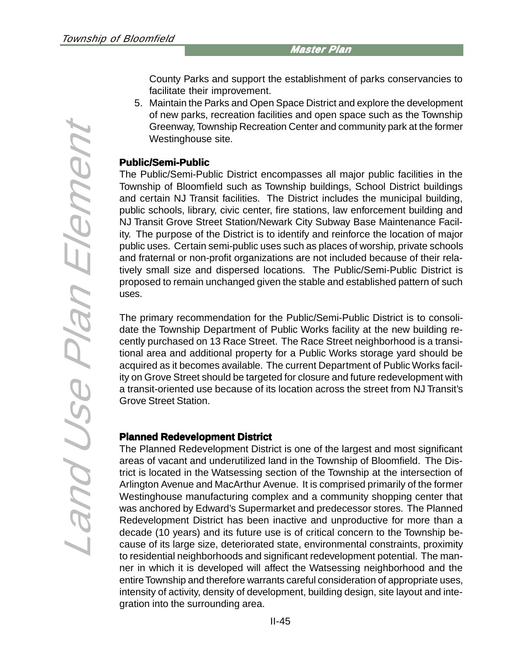County Parks and support the establishment of parks conservancies to facilitate their improvement.

5. Maintain the Parks and Open Space District and explore the development of new parks, recreation facilities and open space such as the Township Greenway, Township Recreation Center and community park at the former Westinghouse site.

#### **Public/Semi-Public**

The Public/Semi-Public District encompasses all major public facilities in the Township of Bloomfield such as Township buildings, School District buildings and certain NJ Transit facilities. The District includes the municipal building, public schools, library, civic center, fire stations, law enforcement building and NJ Transit Grove Street Station/Newark City Subway Base Maintenance Facility. The purpose of the District is to identify and reinforce the location of major public uses. Certain semi-public uses such as places of worship, private schools and fraternal or non-profit organizations are not included because of their relatively small size and dispersed locations. The Public/Semi-Public District is proposed to remain unchanged given the stable and established pattern of such uses.

The primary recommendation for the Public/Semi-Public District is to consolidate the Township Department of Public Works facility at the new building recently purchased on 13 Race Street. The Race Street neighborhood is a transitional area and additional property for a Public Works storage yard should be acquired as it becomes available. The current Department of Public Works facility on Grove Street should be targeted for closure and future redevelopment with a transit-oriented use because of its location across the street from NJ Transit's Grove Street Station.

# **Planned Redevelopment District**

The Planned Redevelopment District is one of the largest and most significant areas of vacant and underutilized land in the Township of Bloomfield. The District is located in the Watsessing section of the Township at the intersection of Arlington Avenue and MacArthur Avenue. It is comprised primarily of the former Westinghouse manufacturing complex and a community shopping center that was anchored by Edward's Supermarket and predecessor stores. The Planned Redevelopment District has been inactive and unproductive for more than a decade (10 years) and its future use is of critical concern to the Township because of its large size, deteriorated state, environmental constraints, proximity to residential neighborhoods and significant redevelopment potential. The manner in which it is developed will affect the Watsessing neighborhood and the entire Township and therefore warrants careful consideration of appropriate uses, intensity of activity, density of development, building design, site layout and integration into the surrounding area.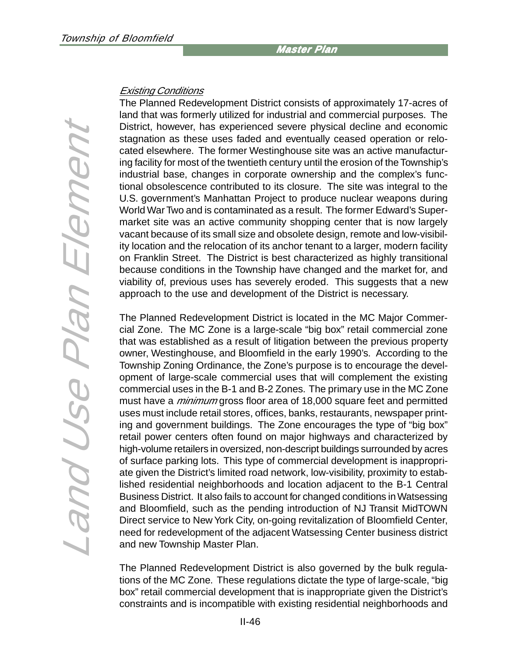#### Existing Conditions

The Planned Redevelopment District consists of approximately 17-acres of land that was formerly utilized for industrial and commercial purposes. The District, however, has experienced severe physical decline and economic stagnation as these uses faded and eventually ceased operation or relocated elsewhere. The former Westinghouse site was an active manufacturing facility for most of the twentieth century until the erosion of the Township's industrial base, changes in corporate ownership and the complex's functional obsolescence contributed to its closure. The site was integral to the U.S. government's Manhattan Project to produce nuclear weapons during World War Two and is contaminated as a result. The former Edward's Supermarket site was an active community shopping center that is now largely vacant because of its small size and obsolete design, remote and low-visibility location and the relocation of its anchor tenant to a larger, modern facility on Franklin Street. The District is best characterized as highly transitional because conditions in the Township have changed and the market for, and viability of, previous uses has severely eroded. This suggests that a new approach to the use and development of the District is necessary.

The Planned Redevelopment District is located in the MC Major Commercial Zone. The MC Zone is a large-scale "big box" retail commercial zone that was established as a result of litigation between the previous property owner, Westinghouse, and Bloomfield in the early 1990's. According to the Township Zoning Ordinance, the Zone's purpose is to encourage the development of large-scale commercial uses that will complement the existing commercial uses in the B-1 and B-2 Zones. The primary use in the MC Zone must have a *minimum* gross floor area of 18,000 square feet and permitted uses must include retail stores, offices, banks, restaurants, newspaper printing and government buildings. The Zone encourages the type of "big box" retail power centers often found on major highways and characterized by high-volume retailers in oversized, non-descript buildings surrounded by acres of surface parking lots. This type of commercial development is inappropriate given the District's limited road network, low-visibility, proximity to established residential neighborhoods and location adjacent to the B-1 Central Business District. It also fails to account for changed conditions in Watsessing and Bloomfield, such as the pending introduction of NJ Transit MidTOWN Direct service to New York City, on-going revitalization of Bloomfield Center, need for redevelopment of the adjacent Watsessing Center business district and new Township Master Plan.

The Planned Redevelopment District is also governed by the bulk regulations of the MC Zone. These regulations dictate the type of large-scale, "big box" retail commercial development that is inappropriate given the District's constraints and is incompatible with existing residential neighborhoods and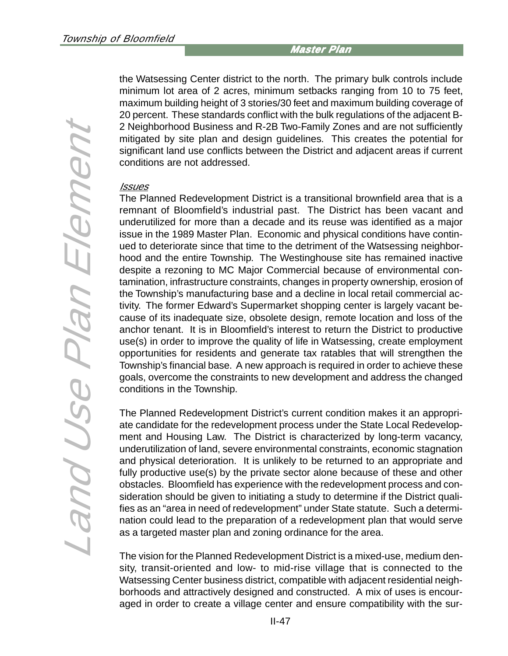the Watsessing Center district to the north. The primary bulk controls include minimum lot area of 2 acres, minimum setbacks ranging from 10 to 75 feet, maximum building height of 3 stories/30 feet and maximum building coverage of 20 percent. These standards conflict with the bulk regulations of the adjacent B-2 Neighborhood Business and R-2B Two-Family Zones and are not sufficiently mitigated by site plan and design guidelines. This creates the potential for significant land use conflicts between the District and adjacent areas if current conditions are not addressed.

#### **Issues**

The Planned Redevelopment District is a transitional brownfield area that is a remnant of Bloomfield's industrial past. The District has been vacant and underutilized for more than a decade and its reuse was identified as a major issue in the 1989 Master Plan. Economic and physical conditions have continued to deteriorate since that time to the detriment of the Watsessing neighborhood and the entire Township. The Westinghouse site has remained inactive despite a rezoning to MC Major Commercial because of environmental contamination, infrastructure constraints, changes in property ownership, erosion of the Township's manufacturing base and a decline in local retail commercial activity. The former Edward's Supermarket shopping center is largely vacant because of its inadequate size, obsolete design, remote location and loss of the anchor tenant. It is in Bloomfield's interest to return the District to productive use(s) in order to improve the quality of life in Watsessing, create employment opportunities for residents and generate tax ratables that will strengthen the Township's financial base. A new approach is required in order to achieve these goals, overcome the constraints to new development and address the changed conditions in the Township.

The Planned Redevelopment District's current condition makes it an appropriate candidate for the redevelopment process under the State Local Redevelopment and Housing Law. The District is characterized by long-term vacancy, underutilization of land, severe environmental constraints, economic stagnation and physical deterioration. It is unlikely to be returned to an appropriate and fully productive use(s) by the private sector alone because of these and other obstacles. Bloomfield has experience with the redevelopment process and consideration should be given to initiating a study to determine if the District qualifies as an "area in need of redevelopment" under State statute. Such a determination could lead to the preparation of a redevelopment plan that would serve as a targeted master plan and zoning ordinance for the area.

The vision for the Planned Redevelopment District is a mixed-use, medium density, transit-oriented and low- to mid-rise village that is connected to the Watsessing Center business district, compatible with adjacent residential neighborhoods and attractively designed and constructed. A mix of uses is encouraged in order to create a village center and ensure compatibility with the sur-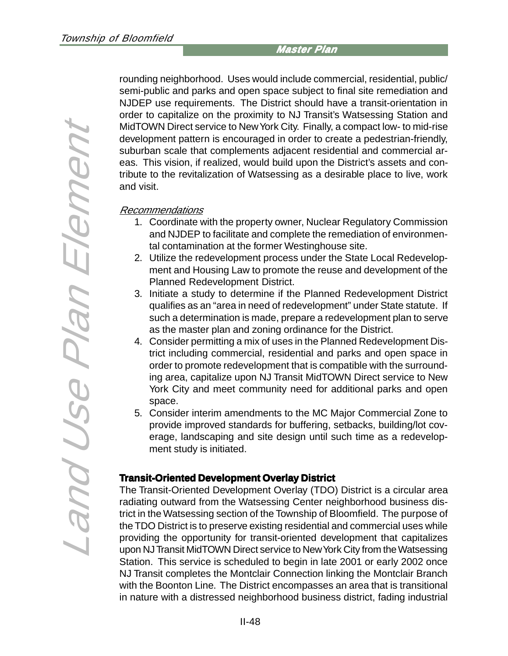rounding neighborhood. Uses would include commercial, residential, public/ semi-public and parks and open space subject to final site remediation and NJDEP use requirements. The District should have a transit-orientation in order to capitalize on the proximity to NJ Transit's Watsessing Station and MidTOWN Direct service to New York City. Finally, a compact low- to mid-rise development pattern is encouraged in order to create a pedestrian-friendly, suburban scale that complements adjacent residential and commercial areas. This vision, if realized, would build upon the District's assets and contribute to the revitalization of Watsessing as a desirable place to live, work and visit.

#### Recommendations

- 1. Coordinate with the property owner, Nuclear Regulatory Commission and NJDEP to facilitate and complete the remediation of environmental contamination at the former Westinghouse site.
- 2. Utilize the redevelopment process under the State Local Redevelopment and Housing Law to promote the reuse and development of the Planned Redevelopment District.
- 3. Initiate a study to determine if the Planned Redevelopment District qualifies as an "area in need of redevelopment" under State statute. If such a determination is made, prepare a redevelopment plan to serve as the master plan and zoning ordinance for the District.
- 4. Consider permitting a mix of uses in the Planned Redevelopment District including commercial, residential and parks and open space in order to promote redevelopment that is compatible with the surrounding area, capitalize upon NJ Transit MidTOWN Direct service to New York City and meet community need for additional parks and open space.
- 5. Consider interim amendments to the MC Major Commercial Zone to provide improved standards for buffering, setbacks, building/lot coverage, landscaping and site design until such time as a redevelopment study is initiated.

#### **Transit-Oriented Development Overlay District**

The Transit-Oriented Development Overlay (TDO) District is a circular area radiating outward from the Watsessing Center neighborhood business district in the Watsessing section of the Township of Bloomfield. The purpose of the TDO District is to preserve existing residential and commercial uses while providing the opportunity for transit-oriented development that capitalizes upon NJ Transit MidTOWN Direct service to New York City from the Watsessing Station. This service is scheduled to begin in late 2001 or early 2002 once NJ Transit completes the Montclair Connection linking the Montclair Branch with the Boonton Line. The District encompasses an area that is transitional in nature with a distressed neighborhood business district, fading industrial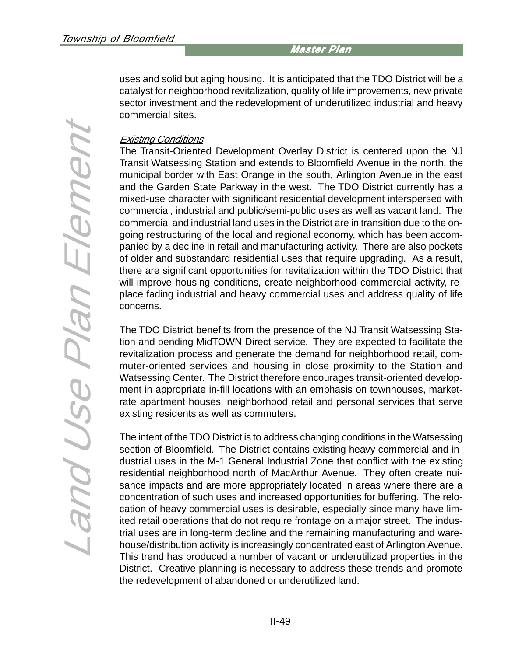uses and solid but aging housing. It is anticipated that the TDO District will be a catalyst for neighborhood revitalization, quality of life improvements, new private sector investment and the redevelopment of underutilized industrial and heavy commercial sites.

#### Existing Conditions

The Transit-Oriented Development Overlay District is centered upon the NJ Transit Watsessing Station and extends to Bloomfield Avenue in the north, the municipal border with East Orange in the south, Arlington Avenue in the east and the Garden State Parkway in the west. The TDO District currently has a mixed-use character with significant residential development interspersed with commercial, industrial and public/semi-public uses as well as vacant land. The commercial and industrial land uses in the District are in transition due to the ongoing restructuring of the local and regional economy, which has been accompanied by a decline in retail and manufacturing activity. There are also pockets of older and substandard residential uses that require upgrading. As a result, there are significant opportunities for revitalization within the TDO District that will improve housing conditions, create neighborhood commercial activity, replace fading industrial and heavy commercial uses and address quality of life concerns.

The TDO District benefits from the presence of the NJ Transit Watsessing Station and pending MidTOWN Direct service. They are expected to facilitate the revitalization process and generate the demand for neighborhood retail, commuter-oriented services and housing in close proximity to the Station and Watsessing Center. The District therefore encourages transit-oriented development in appropriate in-fill locations with an emphasis on townhouses, marketrate apartment houses, neighborhood retail and personal services that serve existing residents as well as commuters.

The intent of the TDO District is to address changing conditions in the Watsessing section of Bloomfield. The District contains existing heavy commercial and industrial uses in the M-1 General Industrial Zone that conflict with the existing residential neighborhood north of MacArthur Avenue. They often create nuisance impacts and are more appropriately located in areas where there are a concentration of such uses and increased opportunities for buffering. The relocation of heavy commercial uses is desirable, especially since many have limited retail operations that do not require frontage on a major street. The industrial uses are in long-term decline and the remaining manufacturing and warehouse/distribution activity is increasingly concentrated east of Arlington Avenue. This trend has produced a number of vacant or underutilized properties in the District. Creative planning is necessary to address these trends and promote the redevelopment of abandoned or underutilized land.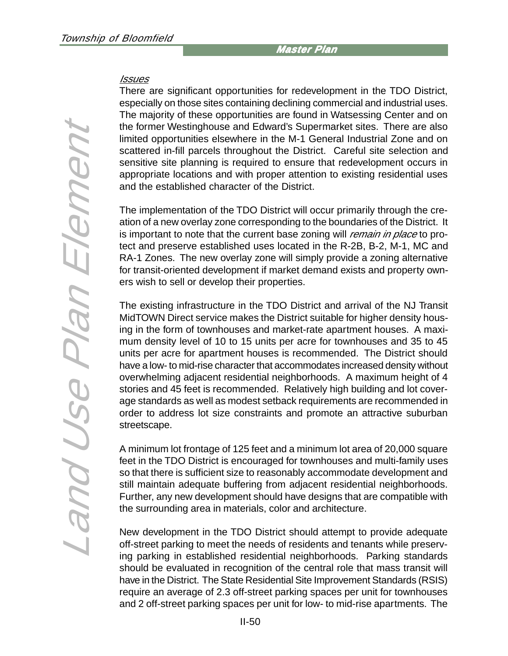#### **Issues**

There are significant opportunities for redevelopment in the TDO District, especially on those sites containing declining commercial and industrial uses. The majority of these opportunities are found in Watsessing Center and on the former Westinghouse and Edward's Supermarket sites. There are also limited opportunities elsewhere in the M-1 General Industrial Zone and on scattered in-fill parcels throughout the District. Careful site selection and sensitive site planning is required to ensure that redevelopment occurs in appropriate locations and with proper attention to existing residential uses and the established character of the District.

The implementation of the TDO District will occur primarily through the creation of a new overlay zone corresponding to the boundaries of the District. It is important to note that the current base zoning will *remain in place* to protect and preserve established uses located in the R-2B, B-2, M-1, MC and RA-1 Zones. The new overlay zone will simply provide a zoning alternative for transit-oriented development if market demand exists and property owners wish to sell or develop their properties.

The existing infrastructure in the TDO District and arrival of the NJ Transit MidTOWN Direct service makes the District suitable for higher density housing in the form of townhouses and market-rate apartment houses. A maximum density level of 10 to 15 units per acre for townhouses and 35 to 45 units per acre for apartment houses is recommended. The District should have a low- to mid-rise character that accommodates increased density without overwhelming adjacent residential neighborhoods. A maximum height of 4 stories and 45 feet is recommended. Relatively high building and lot coverage standards as well as modest setback requirements are recommended in order to address lot size constraints and promote an attractive suburban streetscape.

A minimum lot frontage of 125 feet and a minimum lot area of 20,000 square feet in the TDO District is encouraged for townhouses and multi-family uses so that there is sufficient size to reasonably accommodate development and still maintain adequate buffering from adjacent residential neighborhoods. Further, any new development should have designs that are compatible with the surrounding area in materials, color and architecture.

New development in the TDO District should attempt to provide adequate off-street parking to meet the needs of residents and tenants while preserving parking in established residential neighborhoods. Parking standards should be evaluated in recognition of the central role that mass transit will have in the District. The State Residential Site Improvement Standards (RSIS) require an average of 2.3 off-street parking spaces per unit for townhouses and 2 off-street parking spaces per unit for low- to mid-rise apartments. The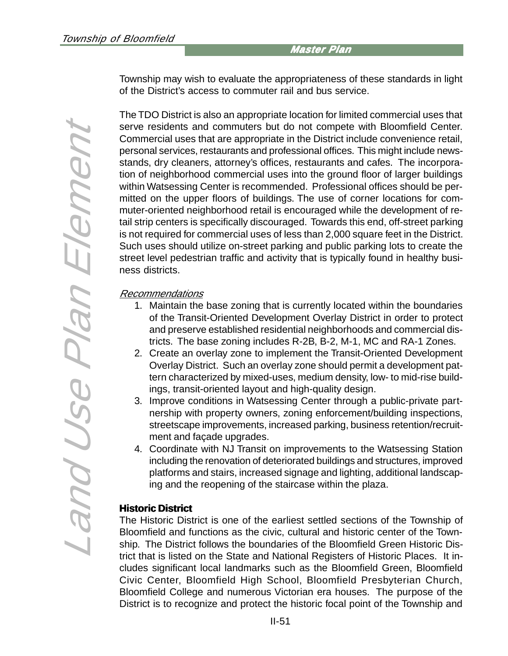Township may wish to evaluate the appropriateness of these standards in light of the District's access to commuter rail and bus service.

The TDO District is also an appropriate location for limited commercial uses that serve residents and commuters but do not compete with Bloomfield Center. Commercial uses that are appropriate in the District include convenience retail, personal services, restaurants and professional offices. This might include newsstands, dry cleaners, attorney's offices, restaurants and cafes. The incorporation of neighborhood commercial uses into the ground floor of larger buildings within Watsessing Center is recommended. Professional offices should be permitted on the upper floors of buildings. The use of corner locations for commuter-oriented neighborhood retail is encouraged while the development of retail strip centers is specifically discouraged. Towards this end, off-street parking is not required for commercial uses of less than 2,000 square feet in the District. Such uses should utilize on-street parking and public parking lots to create the street level pedestrian traffic and activity that is typically found in healthy business districts.

#### Recommendations

- 1. Maintain the base zoning that is currently located within the boundaries of the Transit-Oriented Development Overlay District in order to protect and preserve established residential neighborhoods and commercial districts. The base zoning includes R-2B, B-2, M-1, MC and RA-1 Zones.
- 2. Create an overlay zone to implement the Transit-Oriented Development Overlay District. Such an overlay zone should permit a development pattern characterized by mixed-uses, medium density, low- to mid-rise buildings, transit-oriented layout and high-quality design.
- 3. Improve conditions in Watsessing Center through a public-private partnership with property owners, zoning enforcement/building inspections, streetscape improvements, increased parking, business retention/recruitment and façade upgrades.
- 4. Coordinate with NJ Transit on improvements to the Watsessing Station including the renovation of deteriorated buildings and structures, improved platforms and stairs, increased signage and lighting, additional landscaping and the reopening of the staircase within the plaza.

#### **Historic District**

The Historic District is one of the earliest settled sections of the Township of Bloomfield and functions as the civic, cultural and historic center of the Township. The District follows the boundaries of the Bloomfield Green Historic District that is listed on the State and National Registers of Historic Places. It includes significant local landmarks such as the Bloomfield Green, Bloomfield Civic Center, Bloomfield High School, Bloomfield Presbyterian Church, Bloomfield College and numerous Victorian era houses. The purpose of the District is to recognize and protect the historic focal point of the Township and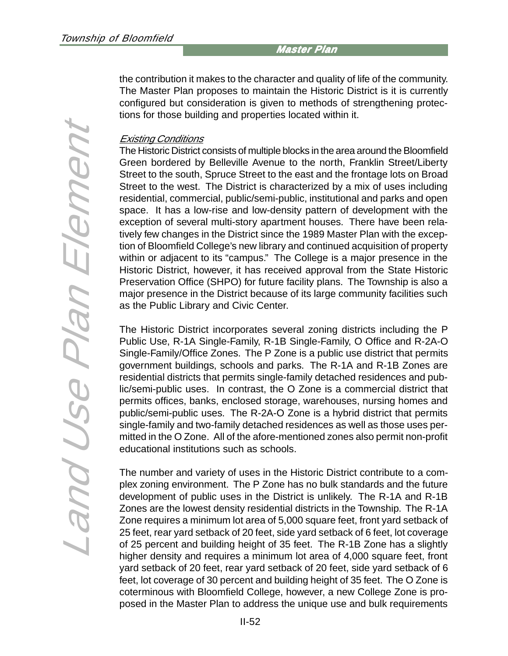the contribution it makes to the character and quality of life of the community. The Master Plan proposes to maintain the Historic District is it is currently configured but consideration is given to methods of strengthening protections for those building and properties located within it.

#### Existing Conditions

The Historic District consists of multiple blocks in the area around the Bloomfield Green bordered by Belleville Avenue to the north, Franklin Street/Liberty Street to the south, Spruce Street to the east and the frontage lots on Broad Street to the west. The District is characterized by a mix of uses including residential, commercial, public/semi-public, institutional and parks and open space. It has a low-rise and low-density pattern of development with the exception of several multi-story apartment houses. There have been relatively few changes in the District since the 1989 Master Plan with the exception of Bloomfield College's new library and continued acquisition of property within or adjacent to its "campus." The College is a major presence in the Historic District, however, it has received approval from the State Historic Preservation Office (SHPO) for future facility plans. The Township is also a major presence in the District because of its large community facilities such as the Public Library and Civic Center.

The Historic District incorporates several zoning districts including the P Public Use, R-1A Single-Family, R-1B Single-Family, O Office and R-2A-O Single-Family/Office Zones. The P Zone is a public use district that permits government buildings, schools and parks. The R-1A and R-1B Zones are residential districts that permits single-family detached residences and public/semi-public uses. In contrast, the O Zone is a commercial district that permits offices, banks, enclosed storage, warehouses, nursing homes and public/semi-public uses. The R-2A-O Zone is a hybrid district that permits single-family and two-family detached residences as well as those uses permitted in the O Zone. All of the afore-mentioned zones also permit non-profit educational institutions such as schools.

The number and variety of uses in the Historic District contribute to a complex zoning environment. The P Zone has no bulk standards and the future development of public uses in the District is unlikely. The R-1A and R-1B Zones are the lowest density residential districts in the Township. The R-1A Zone requires a minimum lot area of 5,000 square feet, front yard setback of 25 feet, rear yard setback of 20 feet, side yard setback of 6 feet, lot coverage of 25 percent and building height of 35 feet. The R-1B Zone has a slightly higher density and requires a minimum lot area of 4,000 square feet, front yard setback of 20 feet, rear yard setback of 20 feet, side yard setback of 6 feet, lot coverage of 30 percent and building height of 35 feet. The O Zone is coterminous with Bloomfield College, however, a new College Zone is proposed in the Master Plan to address the unique use and bulk requirements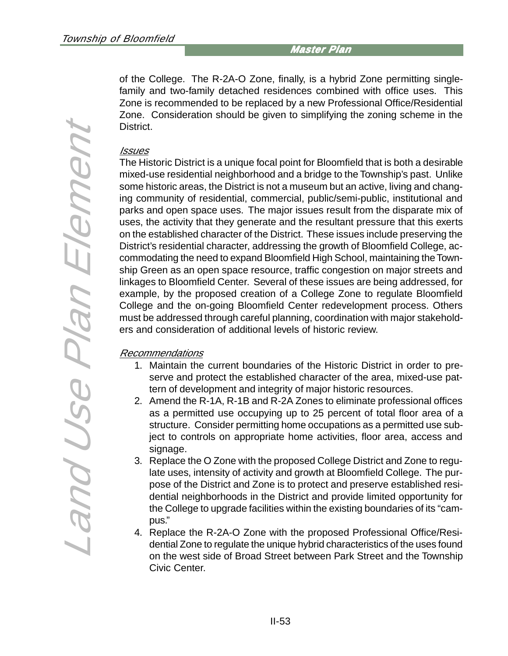of the College. The R-2A-O Zone, finally, is a hybrid Zone permitting singlefamily and two-family detached residences combined with office uses. This Zone is recommended to be replaced by a new Professional Office/Residential Zone. Consideration should be given to simplifying the zoning scheme in the District.

#### Issues

The Historic District is a unique focal point for Bloomfield that is both a desirable mixed-use residential neighborhood and a bridge to the Township's past. Unlike some historic areas, the District is not a museum but an active, living and changing community of residential, commercial, public/semi-public, institutional and parks and open space uses. The major issues result from the disparate mix of uses, the activity that they generate and the resultant pressure that this exerts on the established character of the District. These issues include preserving the District's residential character, addressing the growth of Bloomfield College, accommodating the need to expand Bloomfield High School, maintaining the Township Green as an open space resource, traffic congestion on major streets and linkages to Bloomfield Center. Several of these issues are being addressed, for example, by the proposed creation of a College Zone to regulate Bloomfield College and the on-going Bloomfield Center redevelopment process. Others must be addressed through careful planning, coordination with major stakeholders and consideration of additional levels of historic review.

#### Recommendations

- 1. Maintain the current boundaries of the Historic District in order to preserve and protect the established character of the area, mixed-use pattern of development and integrity of major historic resources.
- 2. Amend the R-1A, R-1B and R-2A Zones to eliminate professional offices as a permitted use occupying up to 25 percent of total floor area of a structure. Consider permitting home occupations as a permitted use subject to controls on appropriate home activities, floor area, access and signage.
- 3. Replace the O Zone with the proposed College District and Zone to regulate uses, intensity of activity and growth at Bloomfield College. The purpose of the District and Zone is to protect and preserve established residential neighborhoods in the District and provide limited opportunity for the College to upgrade facilities within the existing boundaries of its "campus."
- 4. Replace the R-2A-O Zone with the proposed Professional Office/Residential Zone to regulate the unique hybrid characteristics of the uses found on the west side of Broad Street between Park Street and the Township Civic Center.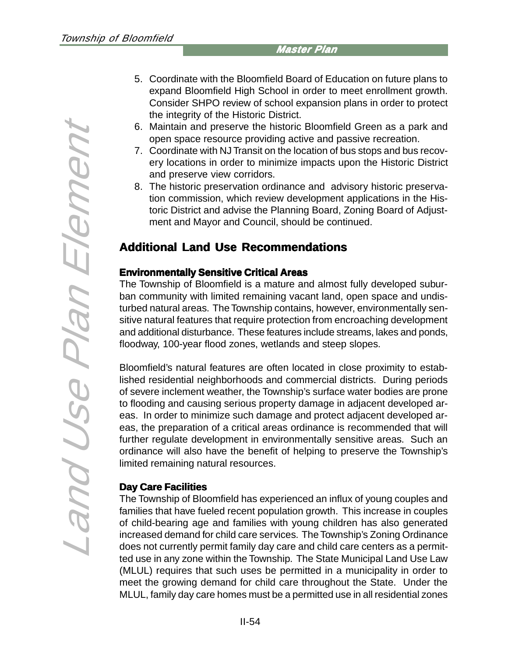- 5. Coordinate with the Bloomfield Board of Education on future plans to expand Bloomfield High School in order to meet enrollment growth. Consider SHPO review of school expansion plans in order to protect the integrity of the Historic District.
- 6. Maintain and preserve the historic Bloomfield Green as a park and open space resource providing active and passive recreation.
- 7. Coordinate with NJ Transit on the location of bus stops and bus recovery locations in order to minimize impacts upon the Historic District and preserve view corridors.
- 8. The historic preservation ordinance and advisory historic preservation commission, which review development applications in the Historic District and advise the Planning Board, Zoning Board of Adjustment and Mayor and Council, should be continued.

# **Additional Land Use Recommendations**

# **Environmentally Sensitive Critical Areas**

The Township of Bloomfield is a mature and almost fully developed suburban community with limited remaining vacant land, open space and undisturbed natural areas. The Township contains, however, environmentally sensitive natural features that require protection from encroaching development and additional disturbance. These features include streams, lakes and ponds, floodway, 100-year flood zones, wetlands and steep slopes.

Bloomfield's natural features are often located in close proximity to established residential neighborhoods and commercial districts. During periods of severe inclement weather, the Township's surface water bodies are prone to flooding and causing serious property damage in adjacent developed areas. In order to minimize such damage and protect adjacent developed areas, the preparation of a critical areas ordinance is recommended that will further regulate development in environmentally sensitive areas. Such an ordinance will also have the benefit of helping to preserve the Township's limited remaining natural resources.

# **Day Care Facilities**

The Township of Bloomfield has experienced an influx of young couples and families that have fueled recent population growth. This increase in couples of child-bearing age and families with young children has also generated increased demand for child care services. The Township's Zoning Ordinance does not currently permit family day care and child care centers as a permitted use in any zone within the Township. The State Municipal Land Use Law (MLUL) requires that such uses be permitted in a municipality in order to meet the growing demand for child care throughout the State. Under the MLUL, family day care homes must be a permitted use in all residential zones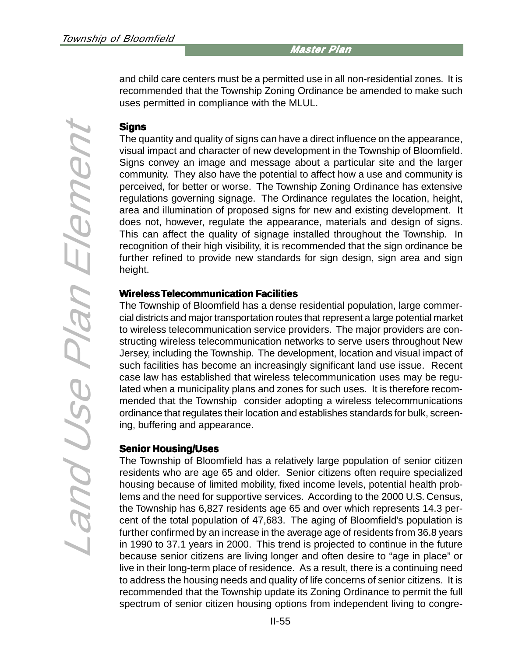and child care centers must be a permitted use in all non-residential zones. It is recommended that the Township Zoning Ordinance be amended to make such uses permitted in compliance with the MLUL.

### **Signs**

The quantity and quality of signs can have a direct influence on the appearance, visual impact and character of new development in the Township of Bloomfield. Signs convey an image and message about a particular site and the larger community. They also have the potential to affect how a use and community is perceived, for better or worse. The Township Zoning Ordinance has extensive regulations governing signage. The Ordinance regulates the location, height, area and illumination of proposed signs for new and existing development. It does not, however, regulate the appearance, materials and design of signs. This can affect the quality of signage installed throughout the Township. In recognition of their high visibility, it is recommended that the sign ordinance be further refined to provide new standards for sign design, sign area and sign height.

#### **Wireless Wireless Telecommunication Facilities**

The Township of Bloomfield has a dense residential population, large commercial districts and major transportation routes that represent a large potential market to wireless telecommunication service providers. The major providers are constructing wireless telecommunication networks to serve users throughout New Jersey, including the Township. The development, location and visual impact of such facilities has become an increasingly significant land use issue. Recent case law has established that wireless telecommunication uses may be regulated when a municipality plans and zones for such uses. It is therefore recommended that the Township consider adopting a wireless telecommunications ordinance that regulates their location and establishes standards for bulk, screening, buffering and appearance.

#### **Senior Housing/Uses**

The Township of Bloomfield has a relatively large population of senior citizen residents who are age 65 and older. Senior citizens often require specialized housing because of limited mobility, fixed income levels, potential health problems and the need for supportive services. According to the 2000 U.S. Census, the Township has 6,827 residents age 65 and over which represents 14.3 percent of the total population of 47,683. The aging of Bloomfield's population is further confirmed by an increase in the average age of residents from 36.8 years in 1990 to 37.1 years in 2000. This trend is projected to continue in the future because senior citizens are living longer and often desire to "age in place" or live in their long-term place of residence. As a result, there is a continuing need to address the housing needs and quality of life concerns of senior citizens. It is recommended that the Township update its Zoning Ordinance to permit the full spectrum of senior citizen housing options from independent living to congre-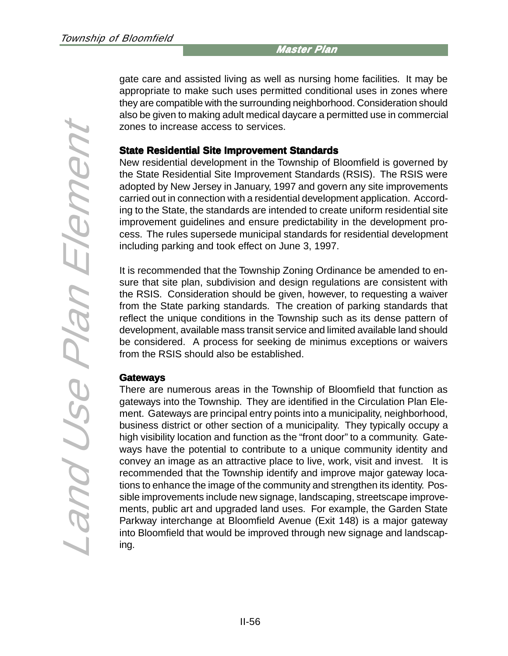gate care and assisted living as well as nursing home facilities. It may be appropriate to make such uses permitted conditional uses in zones where they are compatible with the surrounding neighborhood. Consideration should also be given to making adult medical daycare a permitted use in commercial zones to increase access to services.

#### **State Residential Site Improvement Standards**

New residential development in the Township of Bloomfield is governed by the State Residential Site Improvement Standards (RSIS). The RSIS were adopted by New Jersey in January, 1997 and govern any site improvements carried out in connection with a residential development application. According to the State, the standards are intended to create uniform residential site improvement guidelines and ensure predictability in the development process. The rules supersede municipal standards for residential development including parking and took effect on June 3, 1997.

It is recommended that the Township Zoning Ordinance be amended to ensure that site plan, subdivision and design regulations are consistent with the RSIS. Consideration should be given, however, to requesting a waiver from the State parking standards. The creation of parking standards that reflect the unique conditions in the Township such as its dense pattern of development, available mass transit service and limited available land should be considered. A process for seeking de minimus exceptions or waivers from the RSIS should also be established.

#### **Gateways**

There are numerous areas in the Township of Bloomfield that function as gateways into the Township. They are identified in the Circulation Plan Element. Gateways are principal entry points into a municipality, neighborhood, business district or other section of a municipality. They typically occupy a high visibility location and function as the "front door" to a community. Gateways have the potential to contribute to a unique community identity and convey an image as an attractive place to live, work, visit and invest. It is recommended that the Township identify and improve major gateway locations to enhance the image of the community and strengthen its identity. Possible improvements include new signage, landscaping, streetscape improvements, public art and upgraded land uses. For example, the Garden State Parkway interchange at Bloomfield Avenue (Exit 148) is a major gateway into Bloomfield that would be improved through new signage and landscaping.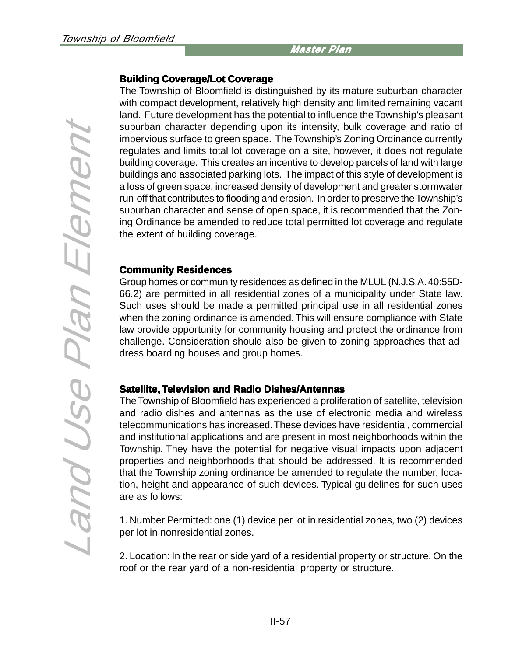#### **Building Coverage/Lot Coverage**

The Township of Bloomfield is distinguished by its mature suburban character with compact development, relatively high density and limited remaining vacant land. Future development has the potential to influence the Township's pleasant suburban character depending upon its intensity, bulk coverage and ratio of impervious surface to green space. The Township's Zoning Ordinance currently regulates and limits total lot coverage on a site, however, it does not regulate building coverage. This creates an incentive to develop parcels of land with large buildings and associated parking lots. The impact of this style of development is a loss of green space, increased density of development and greater stormwater run-off that contributes to flooding and erosion. In order to preserve the Township's suburban character and sense of open space, it is recommended that the Zoning Ordinance be amended to reduce total permitted lot coverage and regulate the extent of building coverage.

#### **Community Residences**

Group homes or community residences as defined in the MLUL (N.J.S.A. 40:55D-66.2) are permitted in all residential zones of a municipality under State law. Such uses should be made a permitted principal use in all residential zones when the zoning ordinance is amended. This will ensure compliance with State law provide opportunity for community housing and protect the ordinance from challenge. Consideration should also be given to zoning approaches that address boarding houses and group homes.

#### **Satellite, Television and Radio Dishes/Antennas**

The Township of Bloomfield has experienced a proliferation of satellite, television and radio dishes and antennas as the use of electronic media and wireless telecommunications has increased. These devices have residential, commercial and institutional applications and are present in most neighborhoods within the Township. They have the potential for negative visual impacts upon adjacent properties and neighborhoods that should be addressed. It is recommended that the Township zoning ordinance be amended to regulate the number, location, height and appearance of such devices. Typical guidelines for such uses are as follows:

1. Number Permitted: one (1) device per lot in residential zones, two (2) devices per lot in nonresidential zones.

2. Location: In the rear or side yard of a residential property or structure. On the roof or the rear yard of a non-residential property or structure.